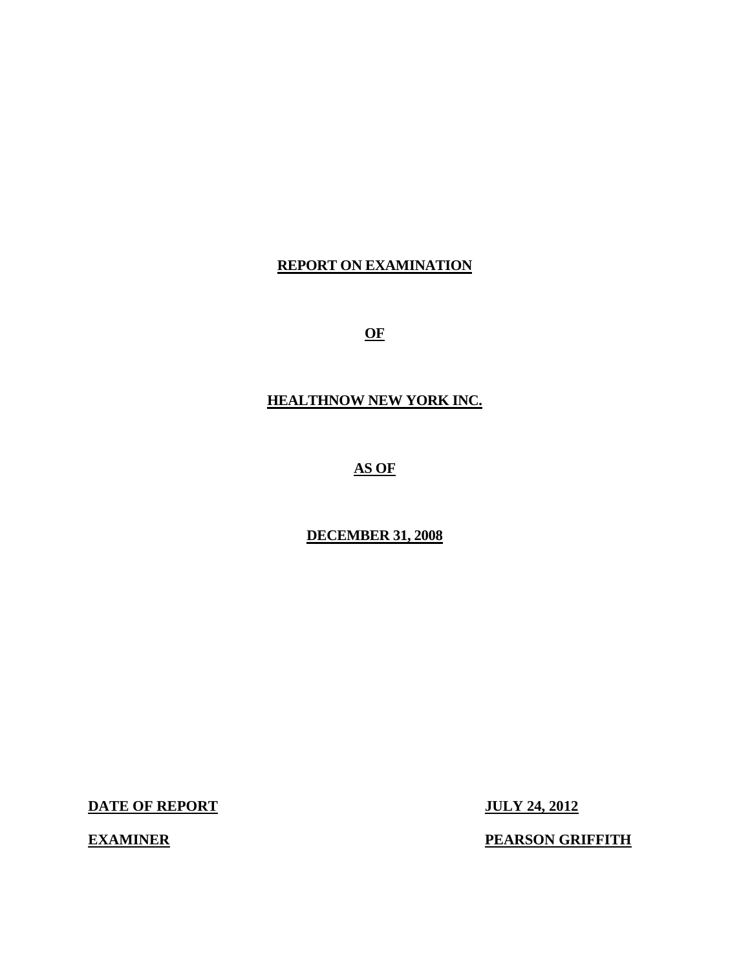## **REPORT ON EXAMINATION**

**OF** 

**HEALTHNOW NEW YORK INC.** 

**AS OF** 

**DECEMBER 31, 2008** 

**DATE OF REPORT JULY 24, 2012** 

**EXAMINER** 

**PEARSON GRIFFITH**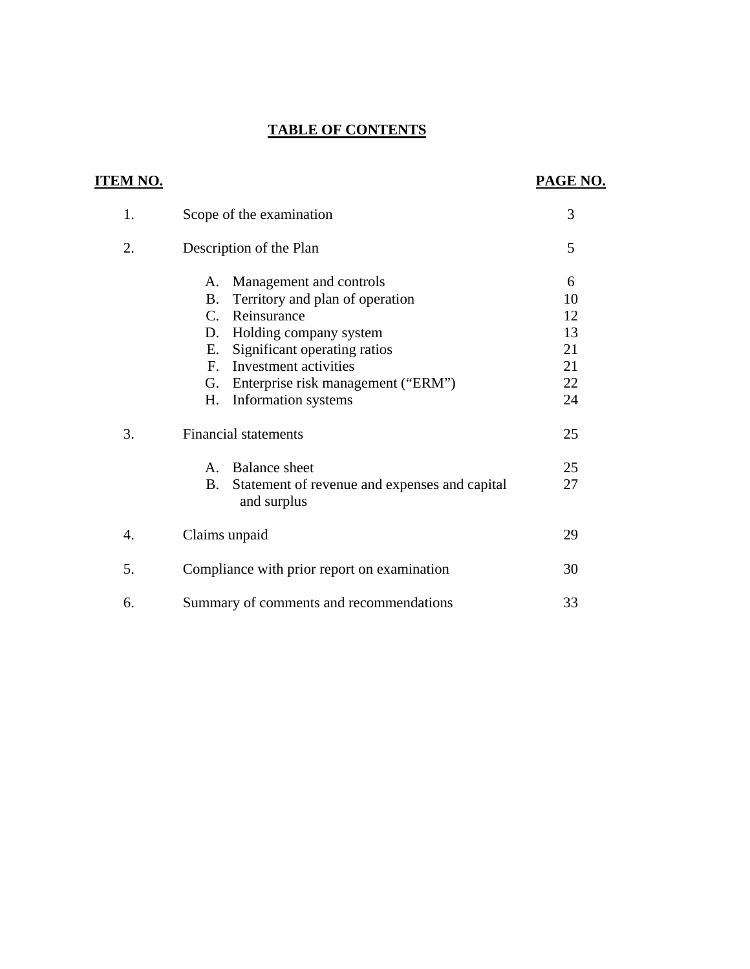## **TABLE OF CONTENTS**

| <u>ITEM NO.</u> |                                                                    | PAGE NO. |
|-----------------|--------------------------------------------------------------------|----------|
| 1.              | Scope of the examination                                           | 3        |
| 2.              | Description of the Plan                                            | 5        |
|                 | Management and controls<br>A.                                      | 6        |
|                 | Territory and plan of operation<br>B.                              | 10       |
|                 | Reinsurance<br>$C_{\cdot}$                                         | 12       |
|                 | Holding company system<br>D.                                       | 13       |
|                 | Significant operating ratios<br>Е.                                 | 21       |
|                 | Investment activities<br>$F_{\cdot}$                               | 21       |
|                 | Enterprise risk management ("ERM")<br>G.                           | 22       |
|                 | Information systems<br>H.                                          | 24       |
| 3.              | <b>Financial statements</b>                                        | 25       |
|                 | <b>Balance</b> sheet<br>$\mathsf{A}$ .                             | 25       |
|                 | B.<br>Statement of revenue and expenses and capital<br>and surplus | 27       |
| 4.              | Claims unpaid                                                      | 29       |
| 5.              | Compliance with prior report on examination                        | 30       |
| 6.              | Summary of comments and recommendations                            | 33       |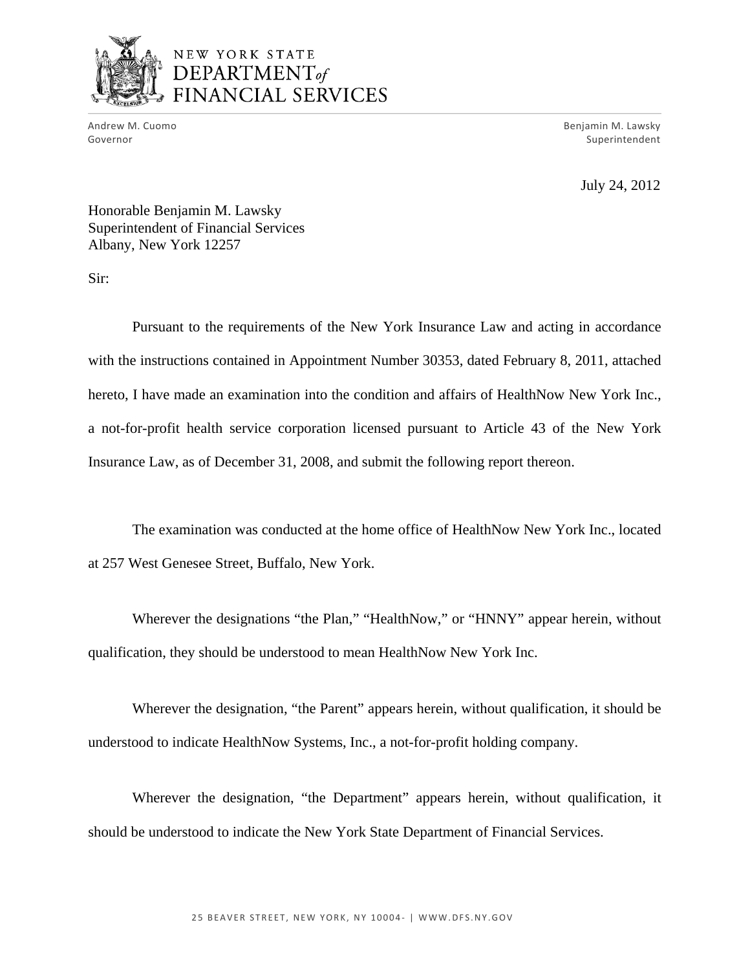

## NEW YORK STATE DEPARTMENT<sub>of</sub> FINANCIAL SERVICES

Governor

Andrew M. Cuomo Benjamin M. Lawsky Superintendent

July 24, 2012

Honorable Benjamin M. Lawsky Superintendent of Financial Services Albany, New York 12257

Sir:

Pursuant to the requirements of the New York Insurance Law and acting in accordance with the instructions contained in Appointment Number 30353, dated February 8, 2011, attached hereto, I have made an examination into the condition and affairs of HealthNow New York Inc., a not-for-profit health service corporation licensed pursuant to Article 43 of the New York Insurance Law, as of December 31, 2008, and submit the following report thereon.

The examination was conducted at the home office of HealthNow New York Inc., located at 257 West Genesee Street, Buffalo, New York.

Wherever the designations "the Plan," "HealthNow," or "HNNY" appear herein, without qualification, they should be understood to mean HealthNow New York Inc.

Wherever the designation, "the Parent" appears herein, without qualification, it should be understood to indicate HealthNow Systems, Inc., a not-for-profit holding company.

Wherever the designation, "the Department" appears herein, without qualification, it should be understood to indicate the New York State Department of Financial Services.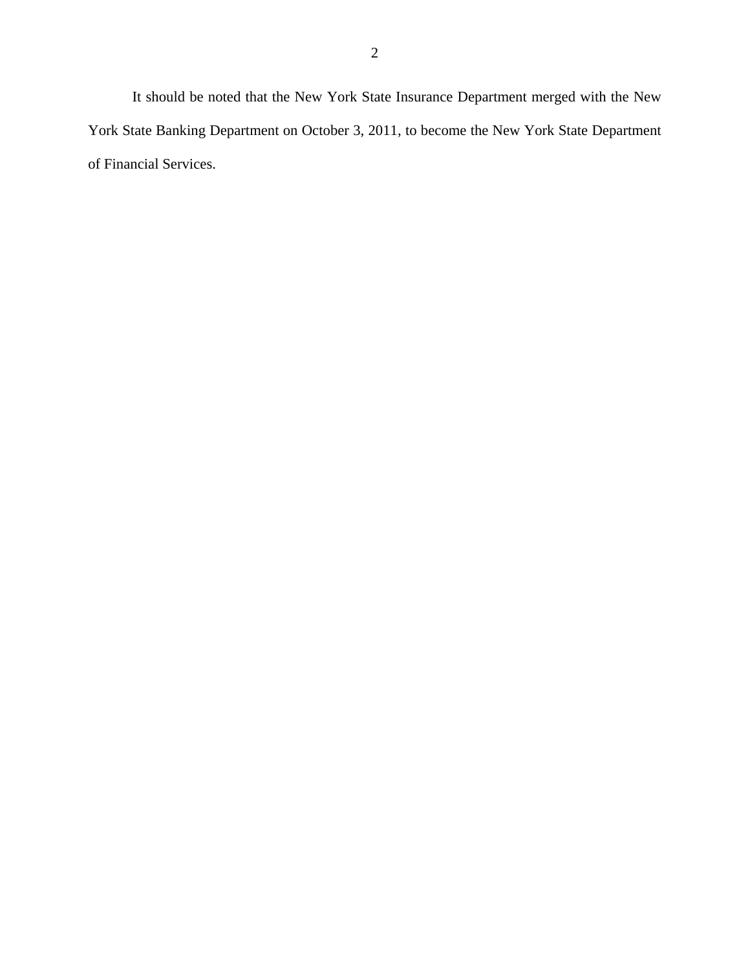It should be noted that the New York State Insurance Department merged with the New York State Banking Department on October 3, 2011, to become the New York State Department of Financial Services.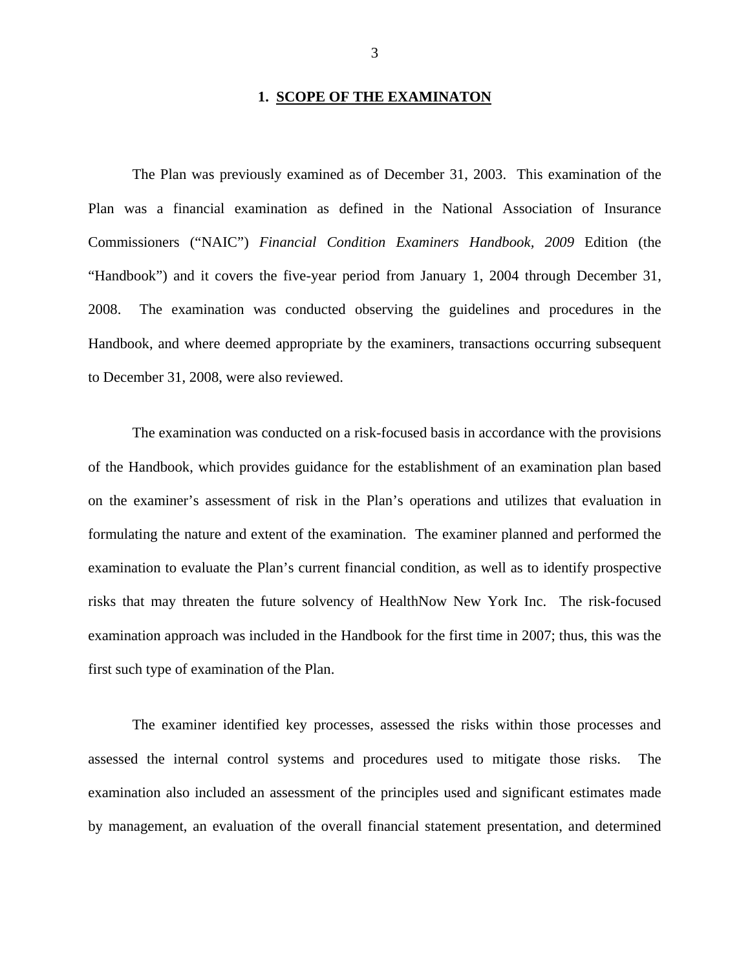#### **1. SCOPE OF THE EXAMINATON**

The Plan was previously examined as of December 31, 2003. This examination of the Plan was a financial examination as defined in the National Association of Insurance Commissioners ("NAIC") *Financial Condition Examiners Handbook, 2009* Edition (the "Handbook") and it covers the five-year period from January 1, 2004 through December 31, 2008. The examination was conducted observing the guidelines and procedures in the Handbook, and where deemed appropriate by the examiners, transactions occurring subsequent to December 31, 2008, were also reviewed.

The examination was conducted on a risk-focused basis in accordance with the provisions of the Handbook, which provides guidance for the establishment of an examination plan based on the examiner's assessment of risk in the Plan's operations and utilizes that evaluation in formulating the nature and extent of the examination. The examiner planned and performed the examination to evaluate the Plan's current financial condition, as well as to identify prospective risks that may threaten the future solvency of HealthNow New York Inc. The risk-focused examination approach was included in the Handbook for the first time in 2007; thus, this was the first such type of examination of the Plan.

The examiner identified key processes, assessed the risks within those processes and assessed the internal control systems and procedures used to mitigate those risks. The examination also included an assessment of the principles used and significant estimates made by management, an evaluation of the overall financial statement presentation, and determined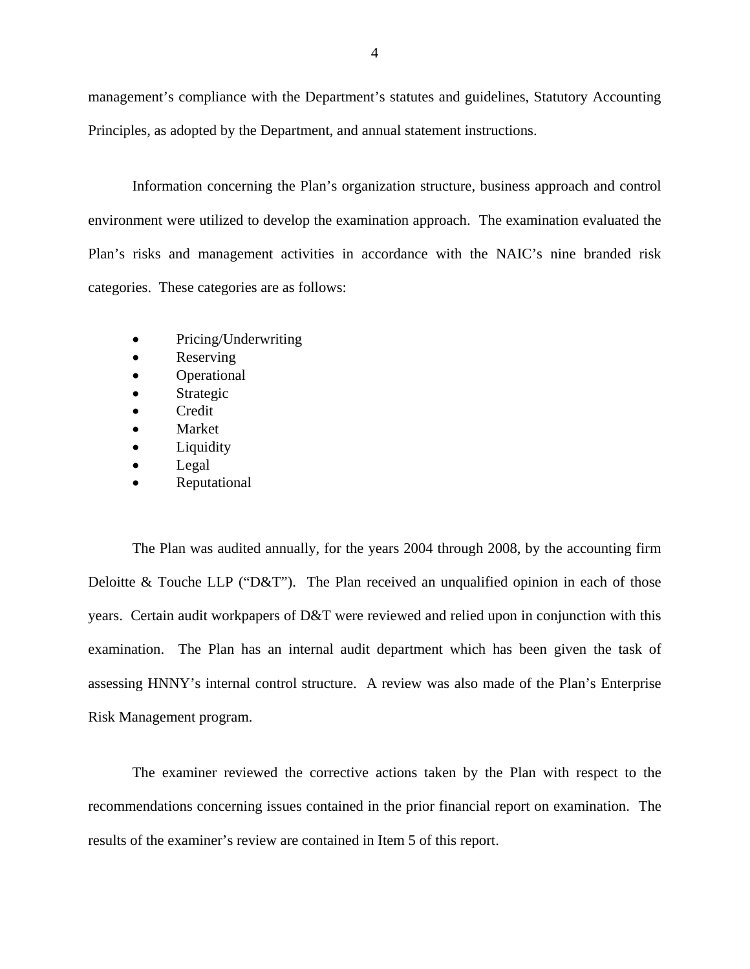management's compliance with the Department's statutes and guidelines, Statutory Accounting Principles, as adopted by the Department, and annual statement instructions.

Information concerning the Plan's organization structure, business approach and control environment were utilized to develop the examination approach. The examination evaluated the Plan's risks and management activities in accordance with the NAIC's nine branded risk categories. These categories are as follows:

- Pricing/Underwriting
- Reserving
- Operational
- Strategic
- **Credit**
- Market
- Liquidity
- Legal
- Reputational

The Plan was audited annually, for the years 2004 through 2008, by the accounting firm Deloitte & Touche LLP (" $D&T$ "). The Plan received an unqualified opinion in each of those years. Certain audit workpapers of D&T were reviewed and relied upon in conjunction with this examination. The Plan has an internal audit department which has been given the task of assessing HNNY's internal control structure. A review was also made of the Plan's Enterprise Risk Management program.

The examiner reviewed the corrective actions taken by the Plan with respect to the recommendations concerning issues contained in the prior financial report on examination. The results of the examiner's review are contained in Item 5 of this report.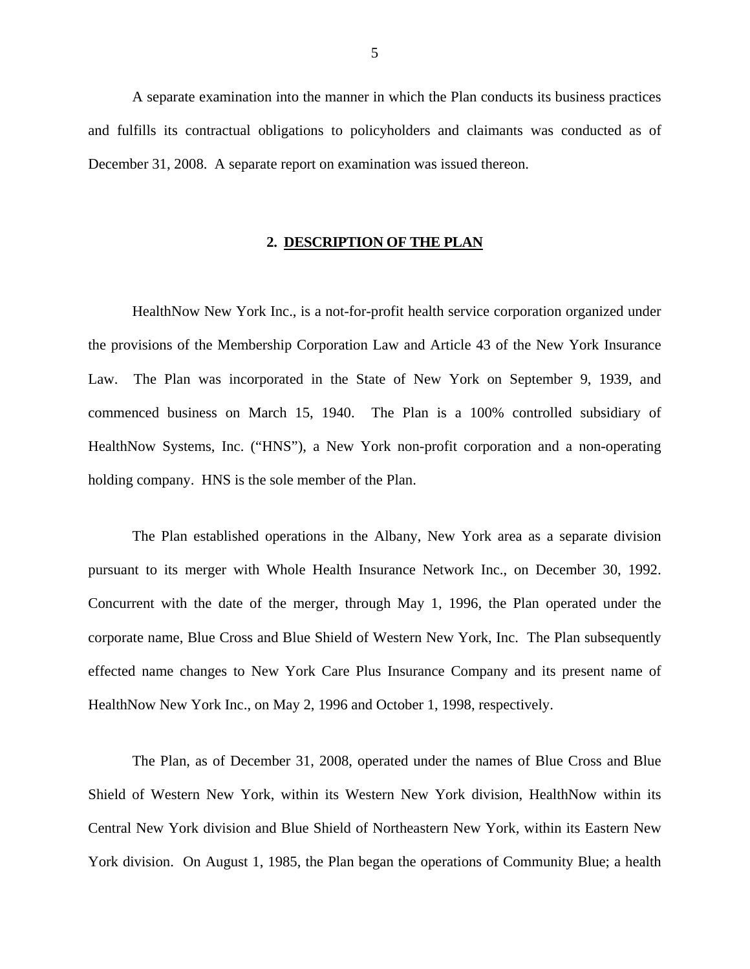<span id="page-6-0"></span>A separate examination into the manner in which the Plan conducts its business practices and fulfills its contractual obligations to policyholders and claimants was conducted as of December 31, 2008. A separate report on examination was issued thereon.

## **2. DESCRIPTION OF THE PLAN**

HealthNow New York Inc., is a not-for-profit health service corporation organized under the provisions of the Membership Corporation Law and Article 43 of the New York Insurance Law. The Plan was incorporated in the State of New York on September 9, 1939, and commenced business on March 15, 1940. The Plan is a 100% controlled subsidiary of HealthNow Systems, Inc. ("HNS"), a New York non-profit corporation and a non-operating holding company. HNS is the sole member of the Plan.

The Plan established operations in the Albany, New York area as a separate division pursuant to its merger with Whole Health Insurance Network Inc., on December 30, 1992. Concurrent with the date of the merger, through May 1, 1996, the Plan operated under the corporate name, Blue Cross and Blue Shield of Western New York, Inc. The Plan subsequently effected name changes to New York Care Plus Insurance Company and its present name of HealthNow New York Inc., on May 2, 1996 and October 1, 1998, respectively.

The Plan, as of December 31, 2008, operated under the names of Blue Cross and Blue Shield of Western New York, within its Western New York division, HealthNow within its Central New York division and Blue Shield of Northeastern New York, within its Eastern New York division. On August 1, 1985, the Plan began the operations of Community Blue; a health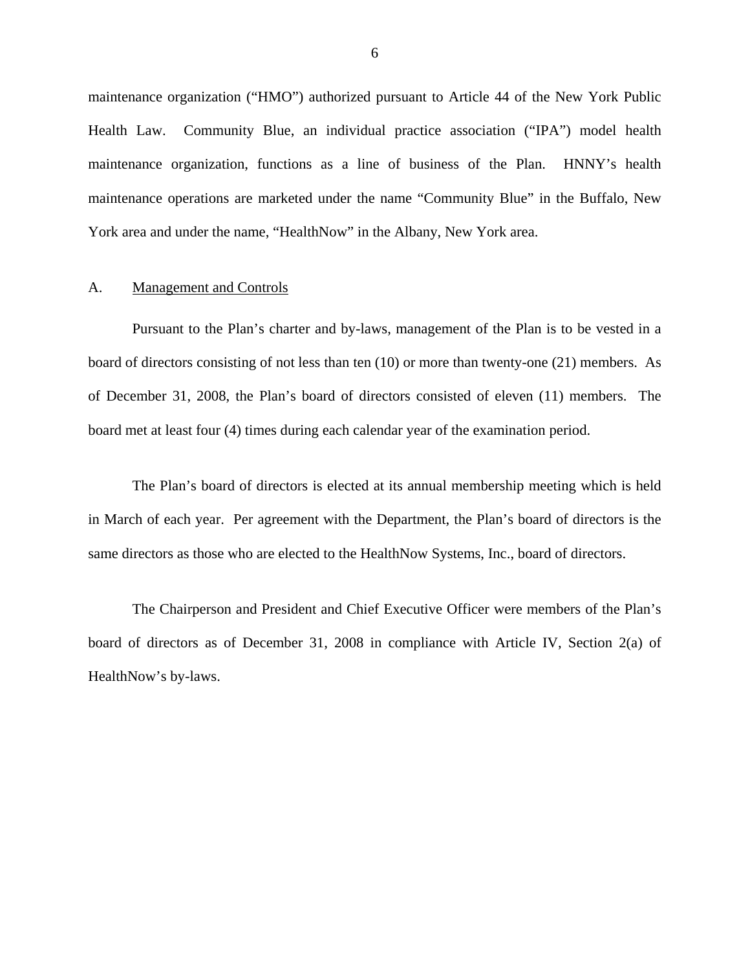<span id="page-7-0"></span>maintenance organization ("HMO") authorized pursuant to Article 44 of the New York Public Health Law. Community Blue, an individual practice association ("IPA") model health maintenance organization, functions as a line of business of the Plan. HNNY's health maintenance operations are marketed under the name "Community Blue" in the Buffalo, New York area and under the name, "HealthNow" in the Albany, New York area.

## A. Management and Controls

Pursuant to the Plan's charter and by-laws, management of the Plan is to be vested in a board of directors consisting of not less than ten (10) or more than twenty-one (21) members. As of December 31, 2008, the Plan's board of directors consisted of eleven (11) members. The board met at least four (4) times during each calendar year of the examination period.

The Plan's board of directors is elected at its annual membership meeting which is held in March of each year. Per agreement with the Department, the Plan's board of directors is the same directors as those who are elected to the HealthNow Systems, Inc., board of directors.

The Chairperson and President and Chief Executive Officer were members of the Plan's board of directors as of December 31, 2008 in compliance with Article IV, Section 2(a) of HealthNow's by-laws.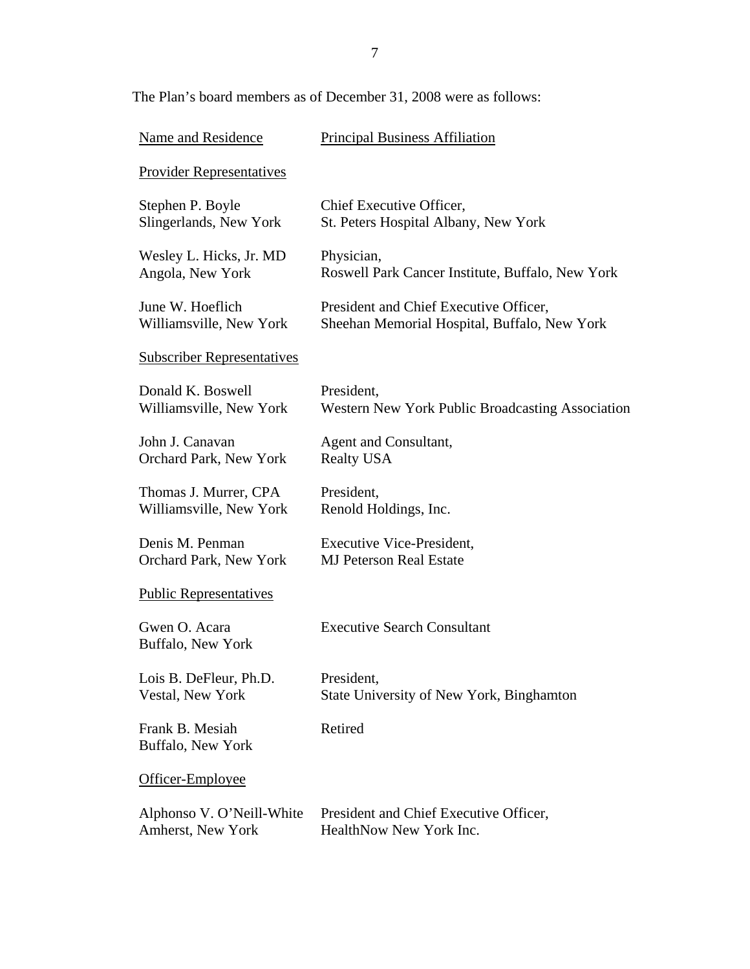The Plan's board members as of December 31, 2008 were as follows:

| Name and Residence                   | <b>Principal Business Affiliation</b>            |
|--------------------------------------|--------------------------------------------------|
| <b>Provider Representatives</b>      |                                                  |
| Stephen P. Boyle                     | Chief Executive Officer,                         |
| Slingerlands, New York               | St. Peters Hospital Albany, New York             |
| Wesley L. Hicks, Jr. MD              | Physician,                                       |
| Angola, New York                     | Roswell Park Cancer Institute, Buffalo, New York |
| June W. Hoeflich                     | President and Chief Executive Officer,           |
| Williamsville, New York              | Sheehan Memorial Hospital, Buffalo, New York     |
| <b>Subscriber Representatives</b>    |                                                  |
| Donald K. Boswell                    | President,                                       |
| Williamsville, New York              | Western New York Public Broadcasting Association |
| John J. Canavan                      | Agent and Consultant,                            |
| Orchard Park, New York               | <b>Realty USA</b>                                |
| Thomas J. Murrer, CPA                | President,                                       |
| Williamsville, New York              | Renold Holdings, Inc.                            |
| Denis M. Penman                      | <b>Executive Vice-President,</b>                 |
| Orchard Park, New York               | <b>MJ Peterson Real Estate</b>                   |
| <b>Public Representatives</b>        |                                                  |
| Gwen O. Acara<br>Buffalo, New York   | <b>Executive Search Consultant</b>               |
| Lois B. DeFleur, Ph.D.               | President,                                       |
| <b>Vestal, New York</b>              | State University of New York, Binghamton         |
| Frank B. Mesiah<br>Buffalo, New York | Retired                                          |
| Officer-Employee                     |                                                  |
| Alphonso V. O'Neill-White            | President and Chief Executive Officer,           |
| Amherst, New York                    | HealthNow New York Inc.                          |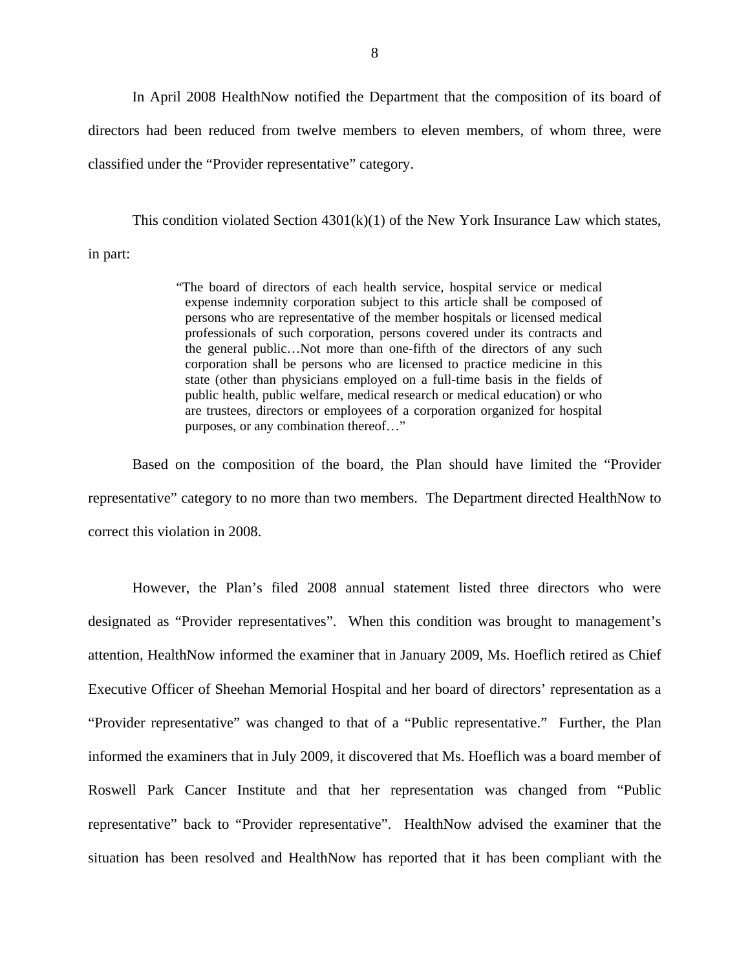In April 2008 HealthNow notified the Department that the composition of its board of directors had been reduced from twelve members to eleven members, of whom three, were classified under the "Provider representative" category.

This condition violated Section  $4301(k)(1)$  of the New York Insurance Law which states, in part:

> "The board of directors of each health service, hospital service or medical expense indemnity corporation subject to this article shall be composed of persons who are representative of the member hospitals or licensed medical professionals of such corporation, persons covered under its contracts and the general public…Not more than one-fifth of the directors of any such corporation shall be persons who are licensed to practice medicine in this state (other than physicians employed on a full-time basis in the fields of public health, public welfare, medical research or medical education) or who are trustees, directors or employees of a corporation organized for hospital purposes, or any combination thereof…"

Based on the composition of the board, the Plan should have limited the "Provider representative" category to no more than two members. The Department directed HealthNow to correct this violation in 2008.

However, the Plan's filed 2008 annual statement listed three directors who were designated as "Provider representatives". When this condition was brought to management's attention, HealthNow informed the examiner that in January 2009, Ms. Hoeflich retired as Chief Executive Officer of Sheehan Memorial Hospital and her board of directors' representation as a "Provider representative" was changed to that of a "Public representative." Further, the Plan informed the examiners that in July 2009, it discovered that Ms. Hoeflich was a board member of Roswell Park Cancer Institute and that her representation was changed from "Public representative" back to "Provider representative". HealthNow advised the examiner that the situation has been resolved and HealthNow has reported that it has been compliant with the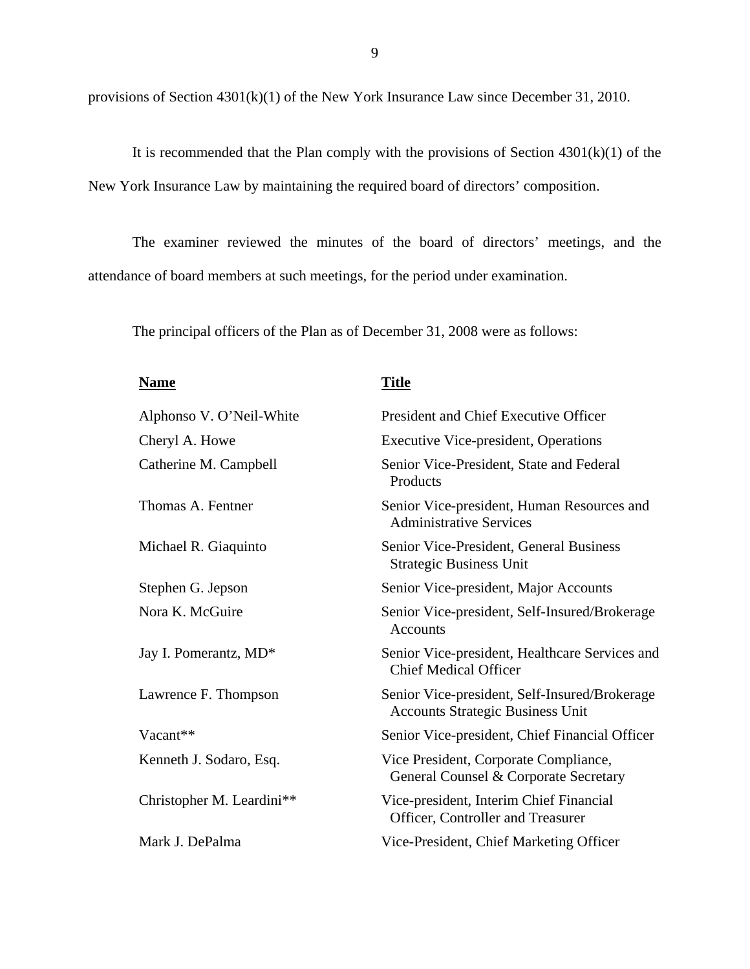provisions of Section 4301(k)(1) of the New York Insurance Law since December 31, 2010.

It is recommended that the Plan comply with the provisions of Section  $4301(k)(1)$  of the New York Insurance Law by maintaining the required board of directors' composition.

The examiner reviewed the minutes of the board of directors' meetings, and the attendance of board members at such meetings, for the period under examination.

The principal officers of the Plan as of December 31, 2008 were as follows:

| <b>Name</b>               | <b>Title</b>                                                                             |
|---------------------------|------------------------------------------------------------------------------------------|
| Alphonso V. O'Neil-White  | President and Chief Executive Officer                                                    |
| Cheryl A. Howe            | <b>Executive Vice-president, Operations</b>                                              |
| Catherine M. Campbell     | Senior Vice-President, State and Federal<br>Products                                     |
| Thomas A. Fentner         | Senior Vice-president, Human Resources and<br><b>Administrative Services</b>             |
| Michael R. Giaquinto      | Senior Vice-President, General Business<br><b>Strategic Business Unit</b>                |
| Stephen G. Jepson         | Senior Vice-president, Major Accounts                                                    |
| Nora K. McGuire           | Senior Vice-president, Self-Insured/Brokerage<br>Accounts                                |
| Jay I. Pomerantz, MD*     | Senior Vice-president, Healthcare Services and<br><b>Chief Medical Officer</b>           |
| Lawrence F. Thompson      | Senior Vice-president, Self-Insured/Brokerage<br><b>Accounts Strategic Business Unit</b> |
| Vacant**                  | Senior Vice-president, Chief Financial Officer                                           |
| Kenneth J. Sodaro, Esq.   | Vice President, Corporate Compliance,<br>General Counsel & Corporate Secretary           |
| Christopher M. Leardini** | Vice-president, Interim Chief Financial<br>Officer, Controller and Treasurer             |
| Mark J. DePalma           | Vice-President, Chief Marketing Officer                                                  |

9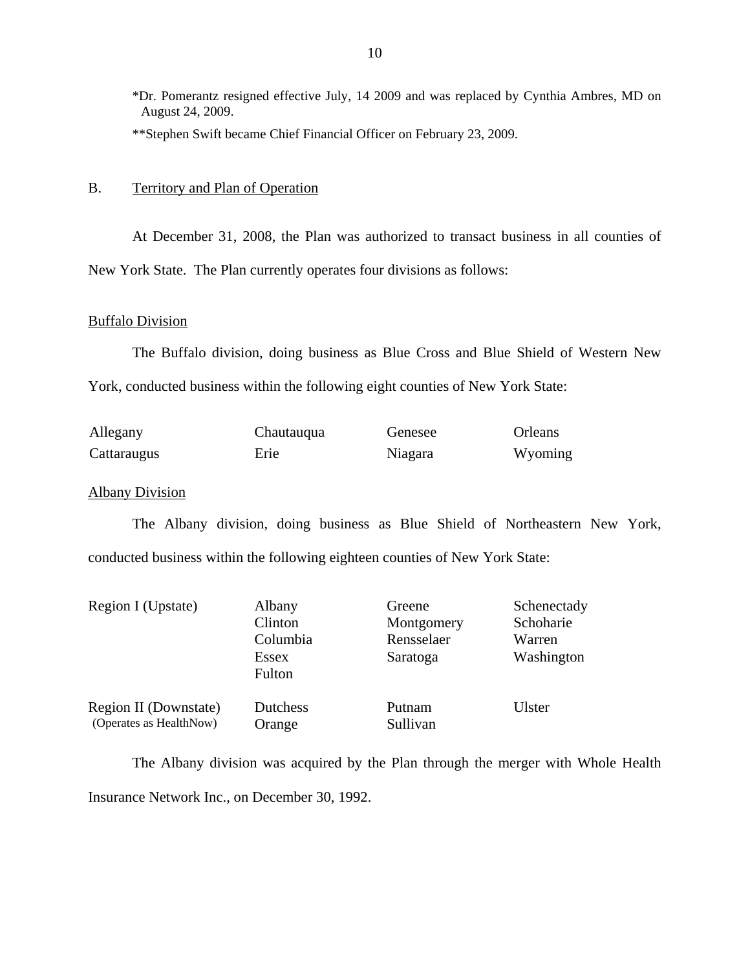<span id="page-11-0"></span>\*Dr. Pomerantz resigned effective July, 14 2009 and was replaced by Cynthia Ambres, MD on August 24, 2009. \*\*Stephen Swift became Chief Financial Officer on February 23, 2009.

## B. Territory and Plan of Operation

At December 31, 2008, the Plan was authorized to transact business in all counties of New York State. The Plan currently operates four divisions as follows:

## Buffalo Division

The Buffalo division, doing business as Blue Cross and Blue Shield of Western New York, conducted business within the following eight counties of New York State:

| Allegany    | Chautauqua | Genesee | Orleans |
|-------------|------------|---------|---------|
| Cattaraugus | Erie       | Niagara | Wyoming |

## Albany Division

The Albany division, doing business as Blue Shield of Northeastern New York, conducted business within the following eighteen counties of New York State:

| Region I (Upstate)      | Albany          | Greene     | Schenectady |
|-------------------------|-----------------|------------|-------------|
|                         | Clinton         | Montgomery | Schoharie   |
|                         | Columbia        | Rensselaer | Warren      |
|                         | Essex           | Saratoga   | Washington  |
|                         | Fulton          |            |             |
| Region II (Downstate)   | <b>Dutchess</b> | Putnam     | Ulster      |
| (Operates as HealthNow) | Orange          | Sullivan   |             |

The Albany division was acquired by the Plan through the merger with Whole Health Insurance Network Inc., on December 30, 1992.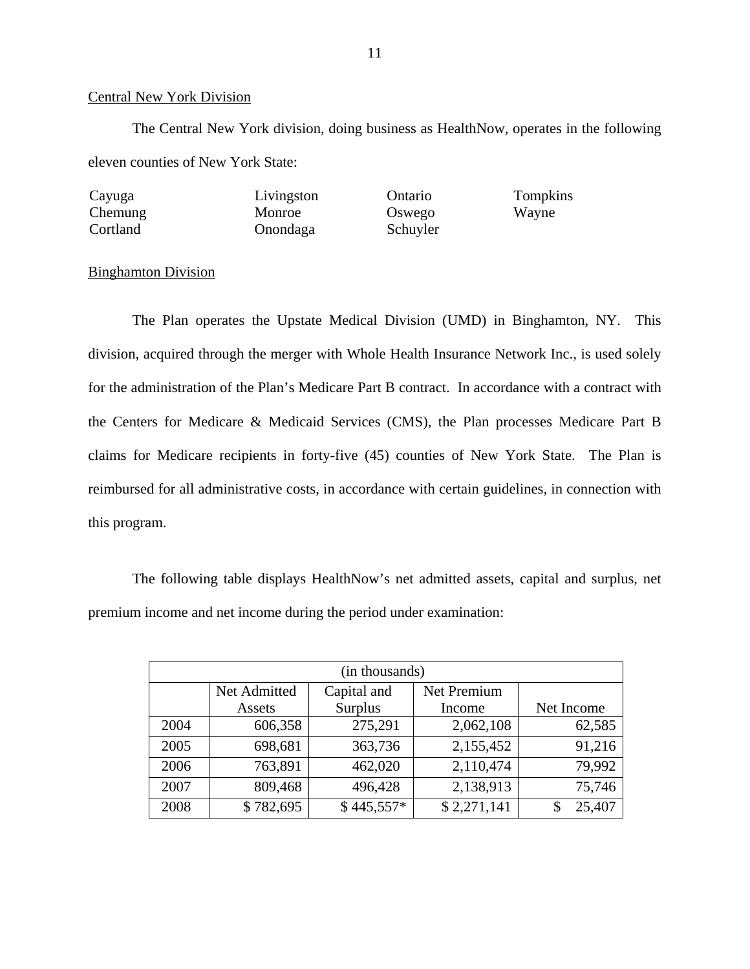## Central New York Division

The Central New York division, doing business as HealthNow, operates in the following eleven counties of New York State:

| Cayuga   | Livingston | Ontario  | Tompkins |
|----------|------------|----------|----------|
| Chemung  | Monroe     | Oswego   | Wayne    |
| Cortland | Onondaga   | Schuyler |          |

## Binghamton Division

The Plan operates the Upstate Medical Division (UMD) in Binghamton, NY. This division, acquired through the merger with Whole Health Insurance Network Inc., is used solely for the administration of the Plan's Medicare Part B contract. In accordance with a contract with the Centers for Medicare & Medicaid Services (CMS), the Plan processes Medicare Part B claims for Medicare recipients in forty-five (45) counties of New York State. The Plan is reimbursed for all administrative costs, in accordance with certain guidelines, in connection with this program.

The following table displays HealthNow's net admitted assets, capital and surplus, net premium income and net income during the period under examination:

| (in thousands) |              |             |             |            |
|----------------|--------------|-------------|-------------|------------|
|                | Net Admitted | Capital and | Net Premium |            |
|                | Assets       | Surplus     | Income      | Net Income |
| 2004           | 606,358      | 275,291     | 2,062,108   | 62,585     |
| 2005           | 698,681      | 363,736     | 2,155,452   | 91,216     |
| 2006           | 763,891      | 462,020     | 2,110,474   | 79,992     |
| 2007           | 809,468      | 496,428     | 2,138,913   | 75,746     |
| 2008           | \$782,695    | $$445,557*$ | \$2,271,141 | 25,407     |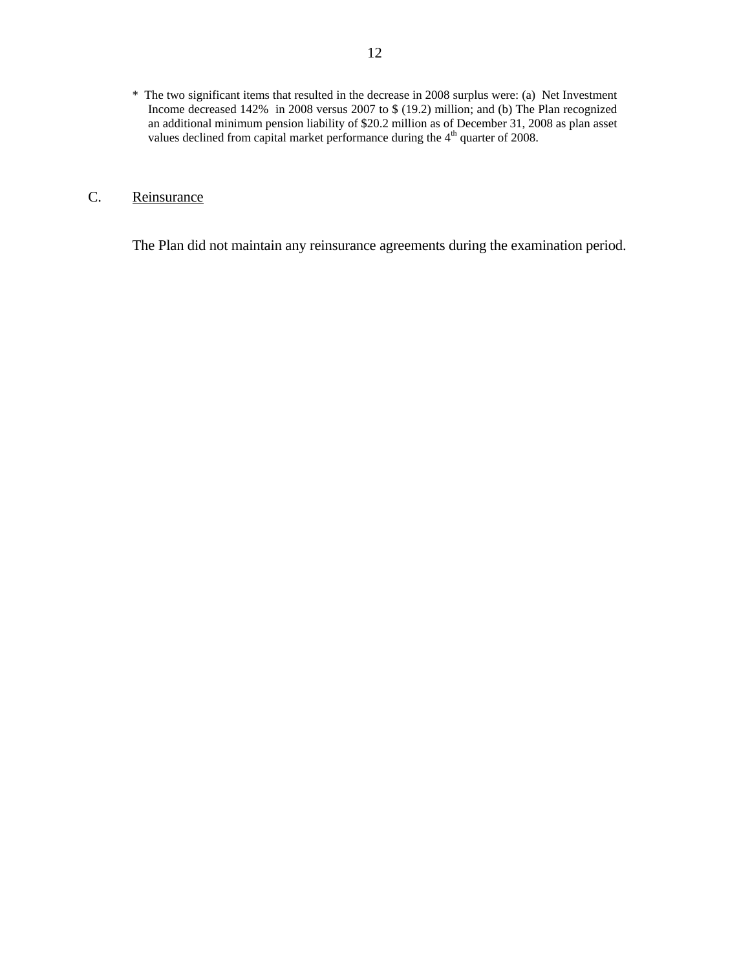<span id="page-13-0"></span> \* The two significant items that resulted in the decrease in 2008 surplus were: (a) Net Investment Income decreased 142% in 2008 versus 2007 to \$ (19.2) million; and (b) The Plan recognized an additional minimum pension liability of \$20.2 million as of December 31, 2008 as plan asset values declined from capital market performance during the  $4<sup>th</sup>$  quarter of 2008.

## C. Reinsurance

The Plan did not maintain any reinsurance agreements during the examination period.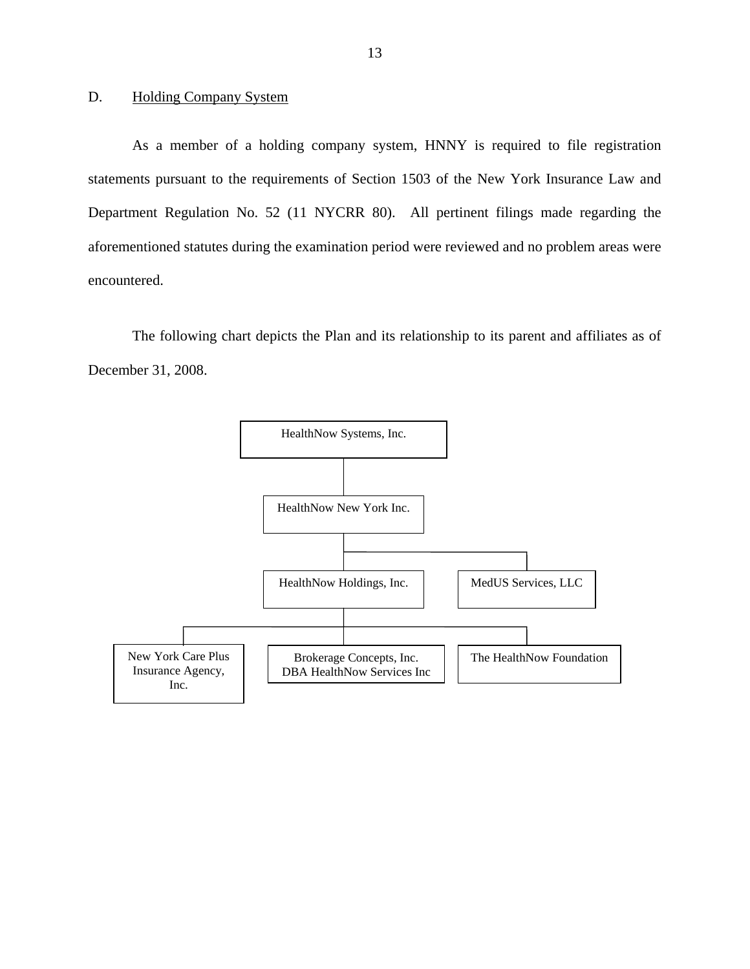## <span id="page-14-0"></span>D. Holding Company System

As a member of a holding company system, HNNY is required to file registration statements pursuant to the requirements of Section 1503 of the New York Insurance Law and Department Regulation No. 52 (11 NYCRR 80). All pertinent filings made regarding the aforementioned statutes during the examination period were reviewed and no problem areas were encountered.

The following chart depicts the Plan and its relationship to its parent and affiliates as of December 31, 2008.

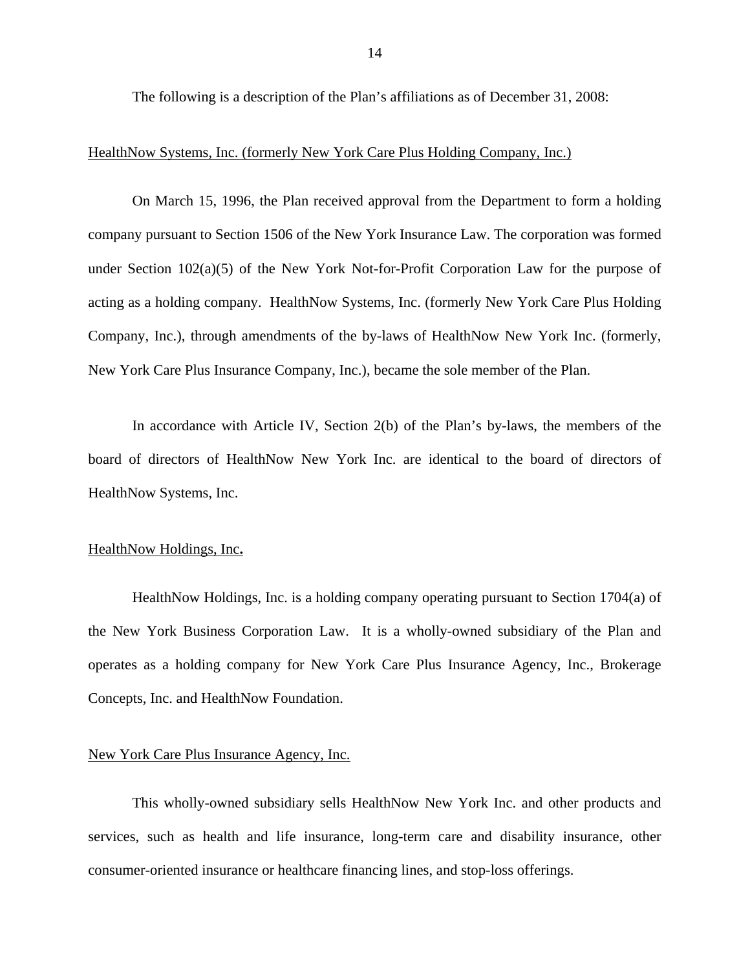The following is a description of the Plan's affiliations as of December 31, 2008:

## HealthNow Systems, Inc. (formerly New York Care Plus Holding Company, Inc.)

On March 15, 1996, the Plan received approval from the Department to form a holding company pursuant to Section 1506 of the New York Insurance Law. The corporation was formed under Section 102(a)(5) of the New York Not-for-Profit Corporation Law for the purpose of acting as a holding company. HealthNow Systems, Inc. (formerly New York Care Plus Holding Company, Inc.), through amendments of the by-laws of HealthNow New York Inc. (formerly, New York Care Plus Insurance Company, Inc.), became the sole member of the Plan.

In accordance with Article IV, Section 2(b) of the Plan's by-laws, the members of the board of directors of HealthNow New York Inc. are identical to the board of directors of HealthNow Systems, Inc.

## HealthNow Holdings, Inc**.**

HealthNow Holdings, Inc. is a holding company operating pursuant to Section 1704(a) of the New York Business Corporation Law. It is a wholly-owned subsidiary of the Plan and operates as a holding company for New York Care Plus Insurance Agency, Inc., Brokerage Concepts, Inc. and HealthNow Foundation.

## New York Care Plus Insurance Agency, Inc.

This wholly-owned subsidiary sells HealthNow New York Inc. and other products and services, such as health and life insurance, long-term care and disability insurance, other consumer-oriented insurance or healthcare financing lines, and stop-loss offerings.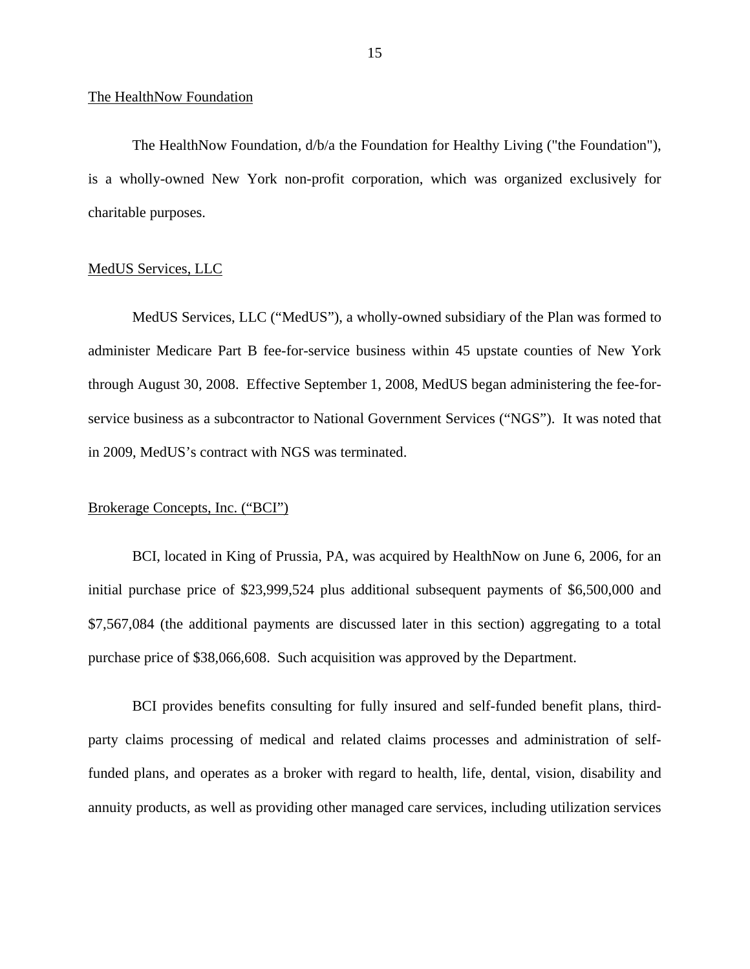#### The HealthNow Foundation

The HealthNow Foundation, d/b/a the Foundation for Healthy Living ("the Foundation"), is a wholly-owned New York non-profit corporation, which was organized exclusively for charitable purposes.

## MedUS Services, LLC

MedUS Services, LLC ("MedUS"), a wholly-owned subsidiary of the Plan was formed to administer Medicare Part B fee-for-service business within 45 upstate counties of New York through August 30, 2008. Effective September 1, 2008, MedUS began administering the fee-forservice business as a subcontractor to National Government Services ("NGS"). It was noted that in 2009, MedUS's contract with NGS was terminated.

## Brokerage Concepts, Inc. ("BCI")

BCI, located in King of Prussia, PA, was acquired by HealthNow on June 6, 2006, for an initial purchase price of \$23,999,524 plus additional subsequent payments of \$6,500,000 and \$7,567,084 (the additional payments are discussed later in this section) aggregating to a total purchase price of \$38,066,608. Such acquisition was approved by the Department.

BCI provides benefits consulting for fully insured and self-funded benefit plans, thirdparty claims processing of medical and related claims processes and administration of selffunded plans, and operates as a broker with regard to health, life, dental, vision, disability and annuity products, as well as providing other managed care services, including utilization services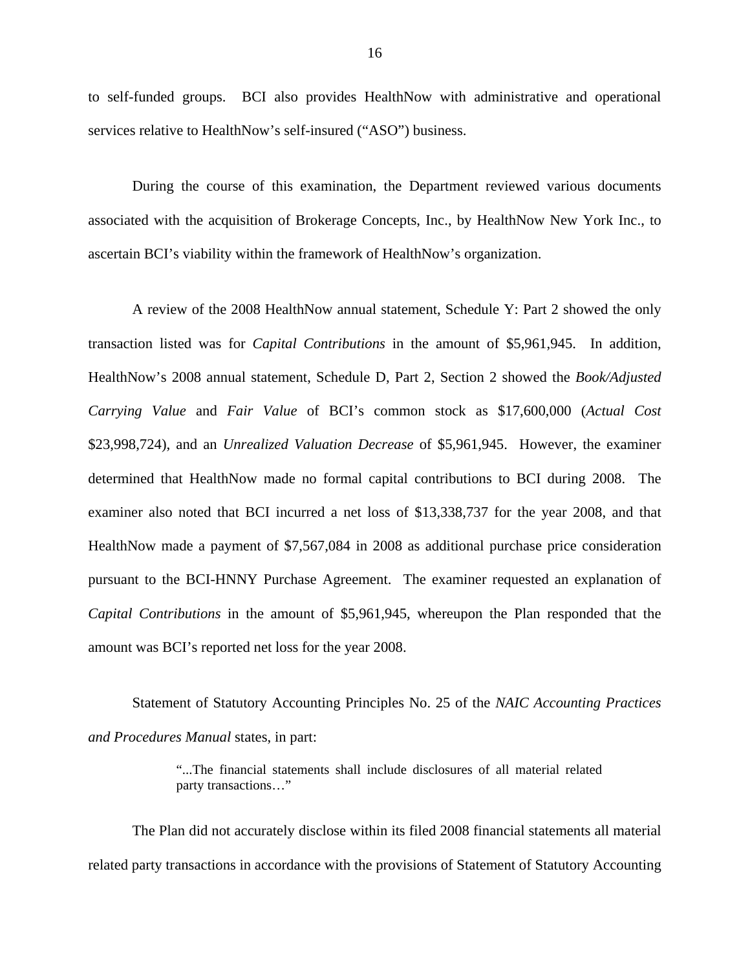to self-funded groups. BCI also provides HealthNow with administrative and operational services relative to HealthNow's self-insured ("ASO") business.

During the course of this examination, the Department reviewed various documents associated with the acquisition of Brokerage Concepts, Inc., by HealthNow New York Inc., to ascertain BCI's viability within the framework of HealthNow's organization.

A review of the 2008 HealthNow annual statement, Schedule Y: Part 2 showed the only transaction listed was for *Capital Contributions* in the amount of \$5,961,945. In addition, HealthNow's 2008 annual statement, Schedule D, Part 2, Section 2 showed the *Book/Adjusted Carrying Value* and *Fair Value* of BCI's common stock as \$17,600,000 (*Actual Cost*  \$23,998,724), and an *Unrealized Valuation Decrease* of \$5,961,945. However, the examiner determined that HealthNow made no formal capital contributions to BCI during 2008. The examiner also noted that BCI incurred a net loss of \$13,338,737 for the year 2008, and that HealthNow made a payment of \$7,567,084 in 2008 as additional purchase price consideration pursuant to the BCI-HNNY Purchase Agreement. The examiner requested an explanation of *Capital Contributions* in the amount of \$5,961,945, whereupon the Plan responded that the amount was BCI's reported net loss for the year 2008.

Statement of Statutory Accounting Principles No. 25 of the *NAIC Accounting Practices and Procedures Manual* states, in part:

> "...The financial statements shall include disclosures of all material related party transactions…"

The Plan did not accurately disclose within its filed 2008 financial statements all material related party transactions in accordance with the provisions of Statement of Statutory Accounting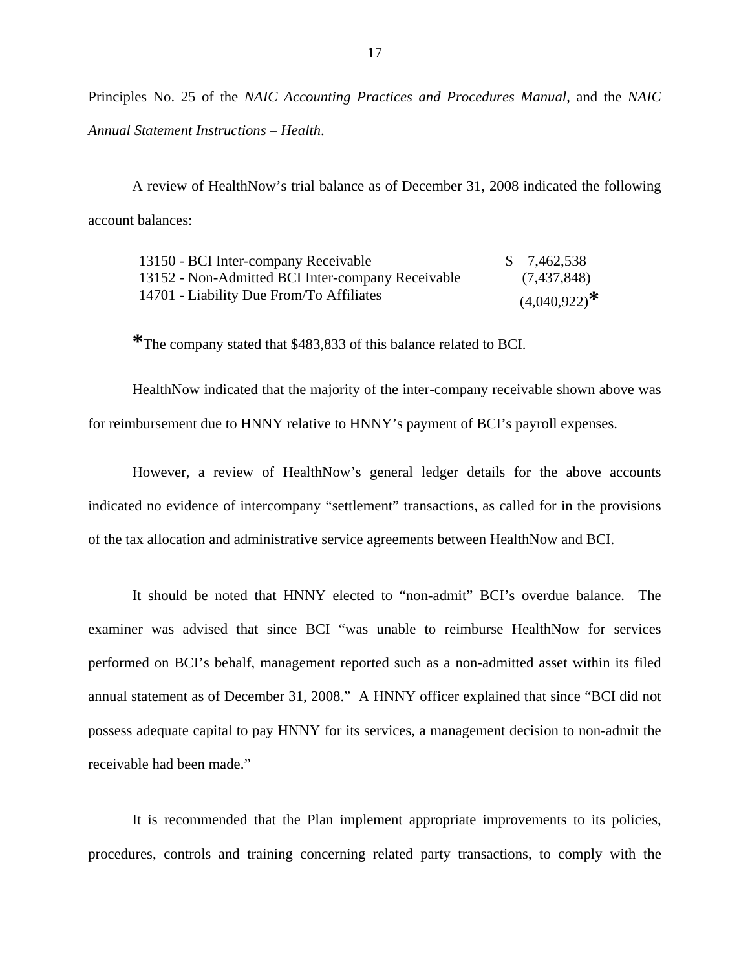Principles No. 25 of the *NAIC Accounting Practices and Procedures Manual*, and the *NAIC Annual Statement Instructions – Health*.

A review of HealthNow's trial balance as of December 31, 2008 indicated the following account balances:

| 13150 - BCI Inter-company Receivable              | \$7,462,538       |
|---------------------------------------------------|-------------------|
| 13152 - Non-Admitted BCI Inter-company Receivable | (7,437,848)       |
| 14701 - Liability Due From/To Affiliates          | $(4,040,922)^{*}$ |

**\***The company stated that \$483,833 of this balance related to BCI.

HealthNow indicated that the majority of the inter-company receivable shown above was for reimbursement due to HNNY relative to HNNY's payment of BCI's payroll expenses.

However, a review of HealthNow's general ledger details for the above accounts indicated no evidence of intercompany "settlement" transactions, as called for in the provisions of the tax allocation and administrative service agreements between HealthNow and BCI.

It should be noted that HNNY elected to "non-admit" BCI's overdue balance. The examiner was advised that since BCI "was unable to reimburse HealthNow for services performed on BCI's behalf, management reported such as a non-admitted asset within its filed annual statement as of December 31, 2008." A HNNY officer explained that since "BCI did not possess adequate capital to pay HNNY for its services, a management decision to non-admit the receivable had been made."

It is recommended that the Plan implement appropriate improvements to its policies, procedures, controls and training concerning related party transactions, to comply with the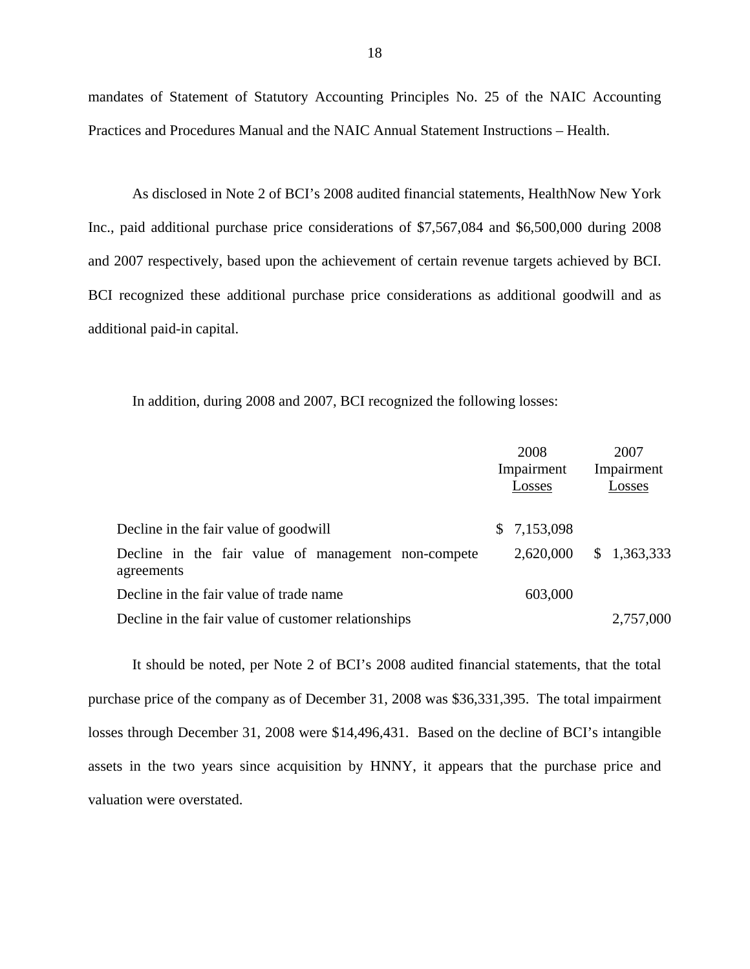mandates of Statement of Statutory Accounting Principles No. 25 of the NAIC Accounting Practices and Procedures Manual and the NAIC Annual Statement Instructions – Health.

As disclosed in Note 2 of BCI's 2008 audited financial statements, HealthNow New York Inc., paid additional purchase price considerations of \$7,567,084 and \$6,500,000 during 2008 and 2007 respectively, based upon the achievement of certain revenue targets achieved by BCI. BCI recognized these additional purchase price considerations as additional goodwill and as additional paid-in capital.

In addition, during 2008 and 2007, BCI recognized the following losses:

|                                                                   | 2008<br>Impairment<br>Losses | 2007<br>Impairment<br>Losses |
|-------------------------------------------------------------------|------------------------------|------------------------------|
| Decline in the fair value of goodwill                             | \$7,153,098                  |                              |
| Decline in the fair value of management non-compete<br>agreements | 2,620,000                    | \$1,363,333                  |
| Decline in the fair value of trade name                           | 603,000                      |                              |
| Decline in the fair value of customer relationships               |                              | 2,757,000                    |

It should be noted, per Note 2 of BCI's 2008 audited financial statements, that the total purchase price of the company as of December 31, 2008 was \$36,331,395. The total impairment losses through December 31, 2008 were \$14,496,431. Based on the decline of BCI's intangible assets in the two years since acquisition by HNNY, it appears that the purchase price and valuation were overstated.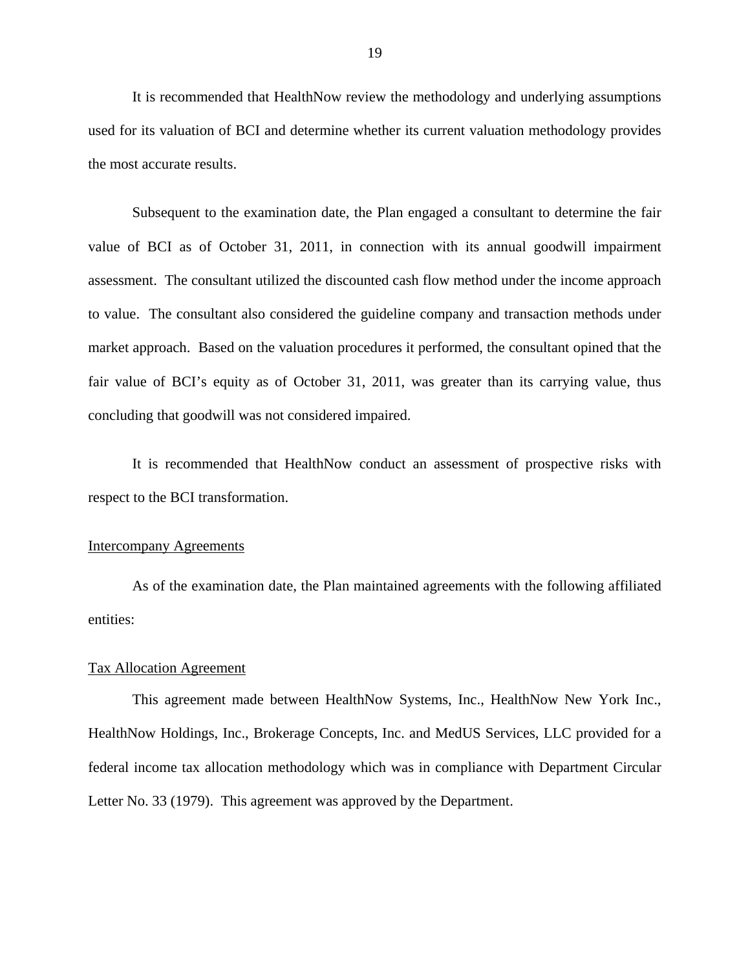It is recommended that HealthNow review the methodology and underlying assumptions used for its valuation of BCI and determine whether its current valuation methodology provides the most accurate results.

Subsequent to the examination date, the Plan engaged a consultant to determine the fair value of BCI as of October 31, 2011, in connection with its annual goodwill impairment assessment. The consultant utilized the discounted cash flow method under the income approach to value. The consultant also considered the guideline company and transaction methods under market approach. Based on the valuation procedures it performed, the consultant opined that the fair value of BCI's equity as of October 31, 2011, was greater than its carrying value, thus concluding that goodwill was not considered impaired.

It is recommended that HealthNow conduct an assessment of prospective risks with respect to the BCI transformation.

## Intercompany Agreements

As of the examination date, the Plan maintained agreements with the following affiliated entities:

## Tax Allocation Agreement

This agreement made between HealthNow Systems, Inc., HealthNow New York Inc., HealthNow Holdings, Inc., Brokerage Concepts, Inc. and MedUS Services, LLC provided for a federal income tax allocation methodology which was in compliance with Department Circular Letter No. 33 (1979). This agreement was approved by the Department.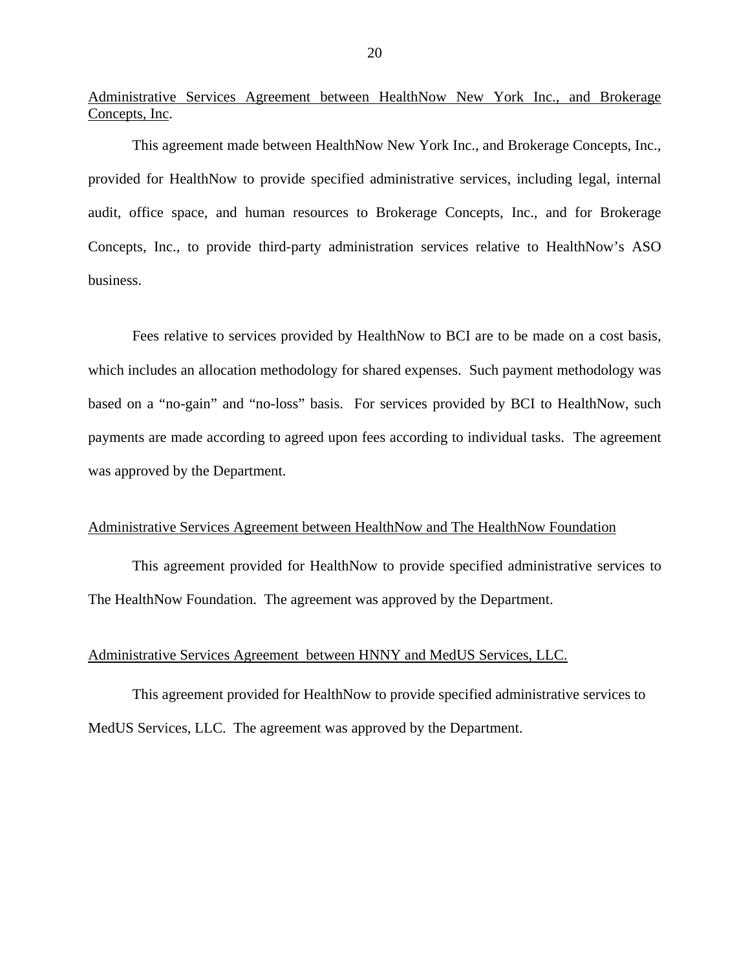Administrative Services Agreement between HealthNow New York Inc., and Brokerage Concepts, Inc.

This agreement made between HealthNow New York Inc., and Brokerage Concepts, Inc., provided for HealthNow to provide specified administrative services, including legal, internal audit, office space, and human resources to Brokerage Concepts, Inc., and for Brokerage Concepts, Inc., to provide third-party administration services relative to HealthNow's ASO business.

Fees relative to services provided by HealthNow to BCI are to be made on a cost basis, which includes an allocation methodology for shared expenses. Such payment methodology was based on a "no-gain" and "no-loss" basis. For services provided by BCI to HealthNow, such payments are made according to agreed upon fees according to individual tasks. The agreement was approved by the Department.

## Administrative Services Agreement between HealthNow and The HealthNow Foundation

This agreement provided for HealthNow to provide specified administrative services to The HealthNow Foundation. The agreement was approved by the Department.

## Administrative Services Agreement between HNNY and MedUS Services, LLC.

This agreement provided for HealthNow to provide specified administrative services to MedUS Services, LLC. The agreement was approved by the Department.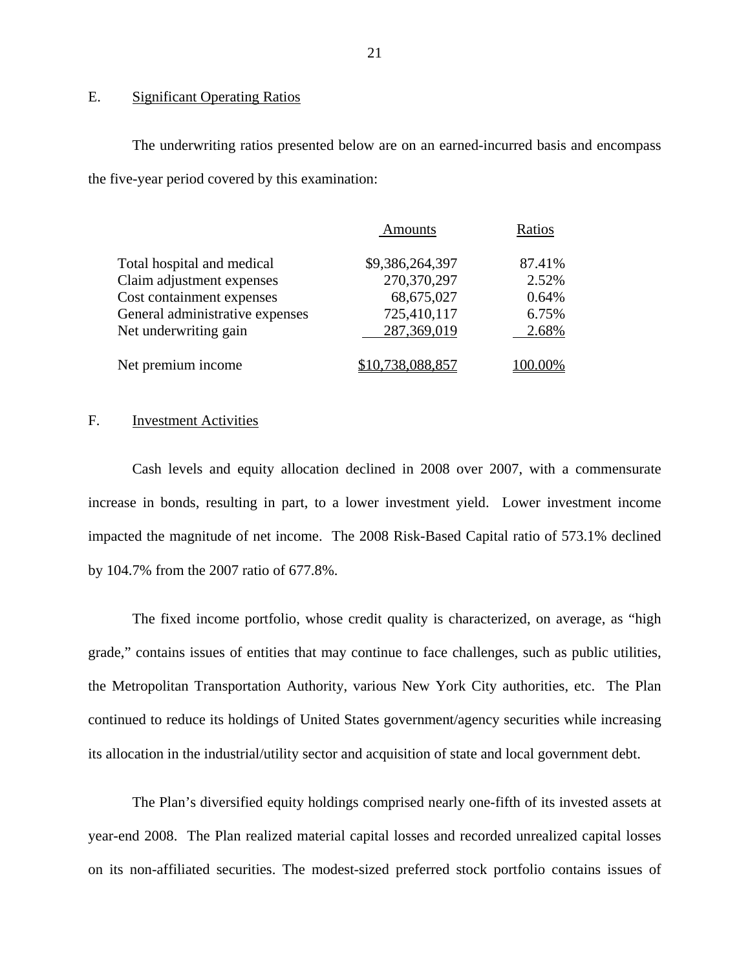## E. Significant Operating Ratios

The underwriting ratios presented below are on an earned-incurred basis and encompass the five-year period covered by this examination:

|                                 | <b>Amounts</b>   | Ratios  |
|---------------------------------|------------------|---------|
| Total hospital and medical      | \$9,386,264,397  | 87.41%  |
| Claim adjustment expenses       | 270,370,297      | 2.52%   |
| Cost containment expenses       | 68,675,027       | 0.64%   |
| General administrative expenses | 725,410,117      | 6.75%   |
| Net underwriting gain           | 287,369,019      | 2.68%   |
| Net premium income              | \$10,738,088,857 | 100.00% |

## F. Investment Activities

Cash levels and equity allocation declined in 2008 over 2007, with a commensurate increase in bonds, resulting in part, to a lower investment yield. Lower investment income impacted the magnitude of net income. The 2008 Risk-Based Capital ratio of 573.1% declined by 104.7% from the 2007 ratio of 677.8%.

The fixed income portfolio, whose credit quality is characterized, on average, as "high grade," contains issues of entities that may continue to face challenges, such as public utilities, the Metropolitan Transportation Authority, various New York City authorities, etc. The Plan continued to reduce its holdings of United States government/agency securities while increasing its allocation in the industrial/utility sector and acquisition of state and local government debt.

The Plan's diversified equity holdings comprised nearly one-fifth of its invested assets at year-end 2008. The Plan realized material capital losses and recorded unrealized capital losses on its non-affiliated securities. The modest-sized preferred stock portfolio contains issues of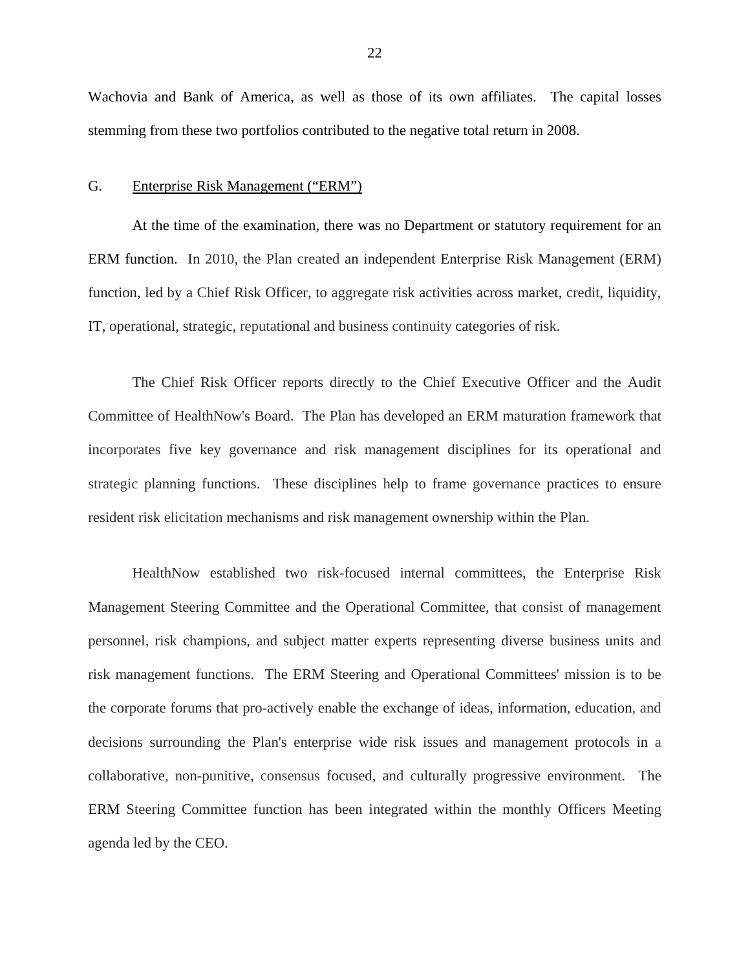<span id="page-23-0"></span>Wachovia and Bank of America, as well as those of its own affiliates. The capital losses stemming from these two portfolios contributed to the negative total return in 2008.

#### G. Enterprise Risk Management ("ERM")

At the time of the examination, there was no Department or statutory requirement for an ERM function. In 2010, the Plan created an independent Enterprise Risk Management (ERM) function, led by a Chief Risk Officer, to aggregate risk activities across market, credit, liquidity, IT, operational, strategic, reputational and business continuity categories of risk.

The Chief Risk Officer reports directly to the Chief Executive Officer and the Audit Committee of HealthNow's Board. The Plan has developed an ERM maturation framework that incorporates five key governance and risk management disciplines for its operational and strategic planning functions. These disciplines help to frame governance practices to ensure resident risk elicitation mechanisms and risk management ownership within the Plan.

HealthNow established two risk-focused internal committees, the Enterprise Risk Management Steering Committee and the Operational Committee, that consist of management personnel, risk champions, and subject matter experts representing diverse business units and risk management functions. The ERM Steering and Operational Committees' mission is to be the corporate forums that pro-actively enable the exchange of ideas, information, education, and decisions surrounding the Plan's enterprise wide risk issues and management protocols in a collaborative, non-punitive, consensus focused, and culturally progressive environment. The ERM Steering Committee function has been integrated within the monthly Officers Meeting agenda led by the CEO.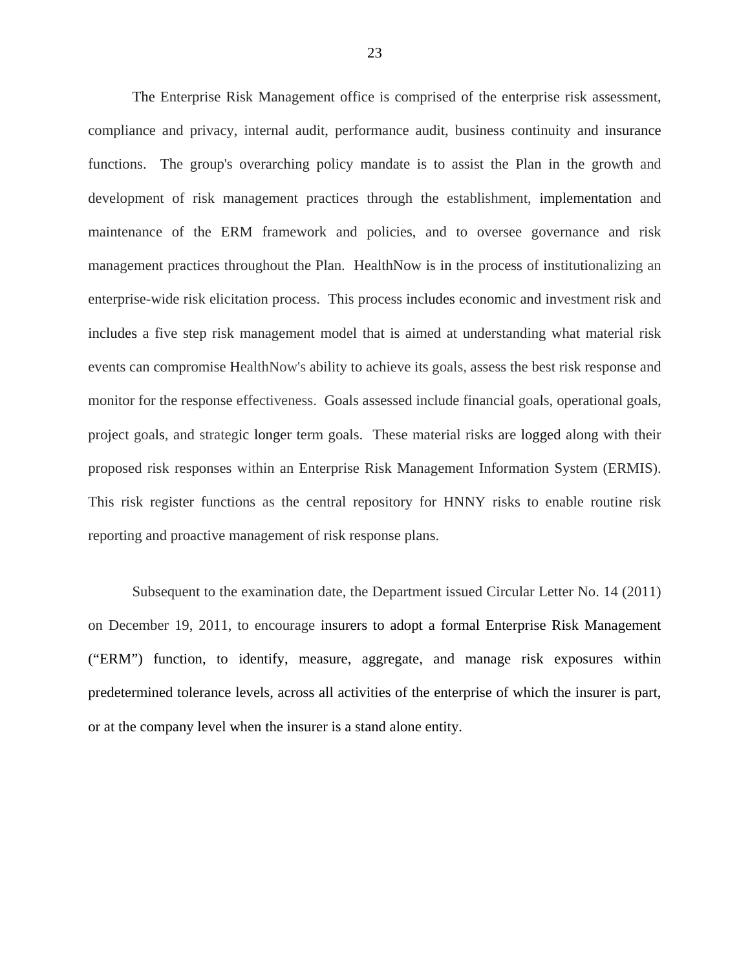The Enterprise Risk Management office is comprised of the enterprise risk assessment, compliance and privacy, internal audit, performance audit, business continuity and insurance functions. The group's overarching policy mandate is to assist the Plan in the growth and development of risk management practices through the establishment, implementation and maintenance of the ERM framework and policies, and to oversee governance and risk management practices throughout the Plan. HealthNow is in the process of institutionalizing an enterprise-wide risk elicitation process. This process includes economic and investment risk and includes a five step risk management model that is aimed at understanding what material risk events can compromise HealthNow's ability to achieve its goals, assess the best risk response and monitor for the response effectiveness. Goals assessed include financial goals, operational goals, project goals, and strategic longer term goals. These material risks are logged along with their proposed risk responses within an Enterprise Risk Management Information System (ERMIS). This risk register functions as the central repository for HNNY risks to enable routine risk reporting and proactive management of risk response plans.

Subsequent to the examination date, the Department issued Circular Letter No. 14 (2011) on December 19, 2011, to encourage insurers to adopt a formal Enterprise Risk Management ("ERM") function, to identify, measure, aggregate, and manage risk exposures within predetermined tolerance levels, across all activities of the enterprise of which the insurer is part, or at the company level when the insurer is a stand alone entity.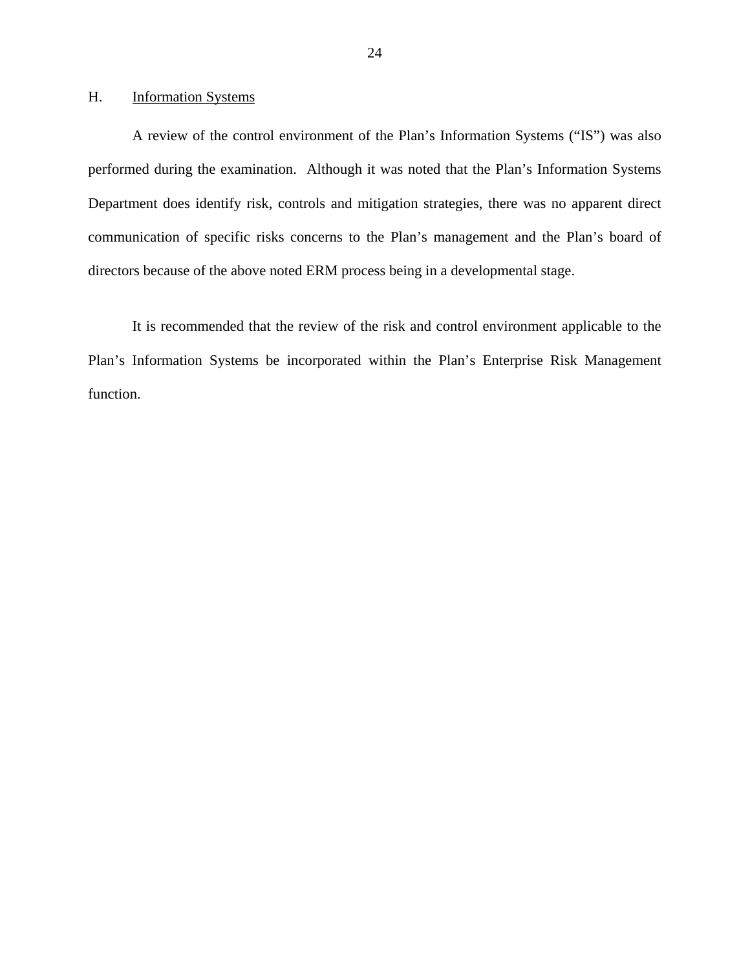## <span id="page-25-0"></span>H. **Information Systems**

A review of the control environment of the Plan's Information Systems ("IS") was also performed during the examination. Although it was noted that the Plan's Information Systems Department does identify risk, controls and mitigation strategies, there was no apparent direct communication of specific risks concerns to the Plan's management and the Plan's board of directors because of the above noted ERM process being in a developmental stage.

It is recommended that the review of the risk and control environment applicable to the Plan's Information Systems be incorporated within the Plan's Enterprise Risk Management function.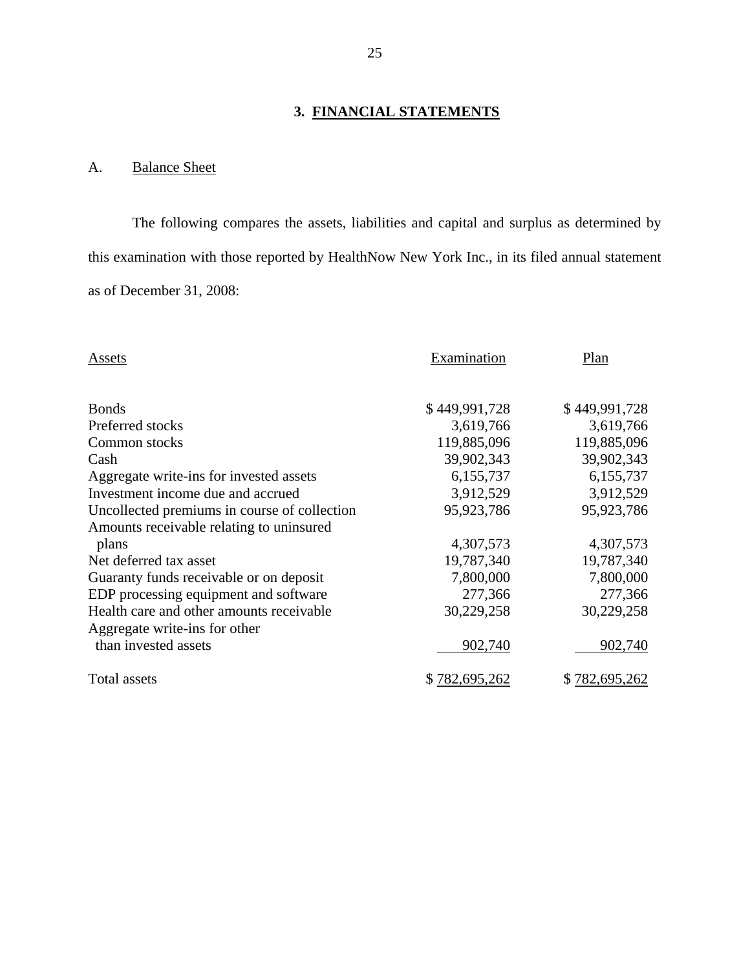## **3. FINANCIAL STATEMENTS**

## <span id="page-26-0"></span>A. Balance Sheet

The following compares the assets, liabilities and capital and surplus as determined by this examination with those reported by HealthNow New York Inc., in its filed annual statement as of December 31, 2008:

| Assets                                       | Examination   | Plan          |
|----------------------------------------------|---------------|---------------|
| <b>Bonds</b>                                 | \$449,991,728 | \$449,991,728 |
| Preferred stocks                             | 3,619,766     | 3,619,766     |
| Common stocks                                | 119,885,096   | 119,885,096   |
| Cash                                         | 39,902,343    | 39,902,343    |
| Aggregate write-ins for invested assets      | 6,155,737     | 6,155,737     |
| Investment income due and accrued            | 3,912,529     | 3,912,529     |
| Uncollected premiums in course of collection | 95,923,786    | 95,923,786    |
| Amounts receivable relating to uninsured     |               |               |
| plans                                        | 4,307,573     | 4,307,573     |
| Net deferred tax asset                       | 19,787,340    | 19,787,340    |
| Guaranty funds receivable or on deposit      | 7,800,000     | 7,800,000     |
| EDP processing equipment and software        | 277,366       | 277,366       |
| Health care and other amounts receivable     | 30,229,258    | 30,229,258    |
| Aggregate write-ins for other                |               |               |
| than invested assets                         | 902,740       | 902,740       |
| Total assets                                 | \$782,695,262 | \$782,695,262 |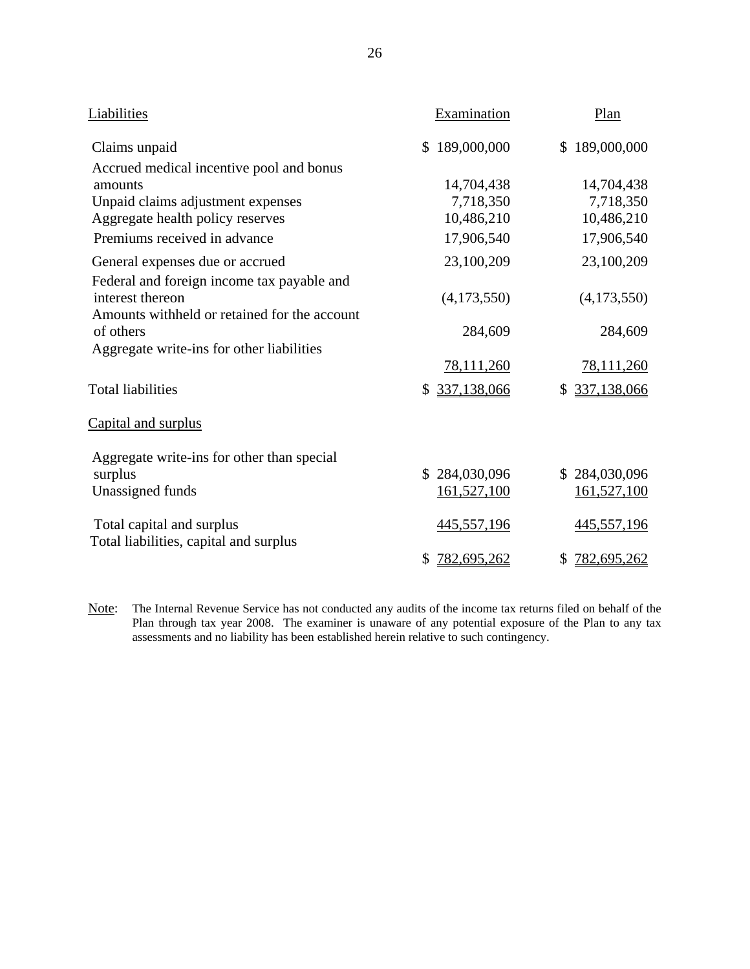| Liabilities                                                                                                    | Examination                  | Plan                         |
|----------------------------------------------------------------------------------------------------------------|------------------------------|------------------------------|
| Claims unpaid                                                                                                  | \$189,000,000                | \$189,000,000                |
| Accrued medical incentive pool and bonus<br>amounts                                                            | 14,704,438                   | 14,704,438                   |
| Unpaid claims adjustment expenses                                                                              | 7,718,350                    | 7,718,350                    |
| Aggregate health policy reserves                                                                               | 10,486,210                   | 10,486,210                   |
| Premiums received in advance                                                                                   | 17,906,540                   | 17,906,540                   |
| General expenses due or accrued                                                                                | 23,100,209                   | 23,100,209                   |
| Federal and foreign income tax payable and<br>interest thereon<br>Amounts withheld or retained for the account | (4,173,550)                  | (4,173,550)                  |
| of others                                                                                                      | 284,609                      | 284,609                      |
| Aggregate write-ins for other liabilities                                                                      | 78,111,260                   | 78,111,260                   |
| <b>Total liabilities</b>                                                                                       | 337,138,066<br>\$            | 337,138,066<br>\$            |
| Capital and surplus                                                                                            |                              |                              |
| Aggregate write-ins for other than special<br>surplus<br>Unassigned funds                                      | \$284,030,096<br>161,527,100 | \$284,030,096<br>161,527,100 |
| Total capital and surplus                                                                                      | 445,557,196                  | 445,557,196                  |
| Total liabilities, capital and surplus                                                                         | 782,695,262<br>\$            | 782,695,262<br>\$            |

Note: The Internal Revenue Service has not conducted any audits of the income tax returns filed on behalf of the Plan through tax year 2008. The examiner is unaware of any potential exposure of the Plan to any tax assessments and no liability has been established herein relative to such contingency.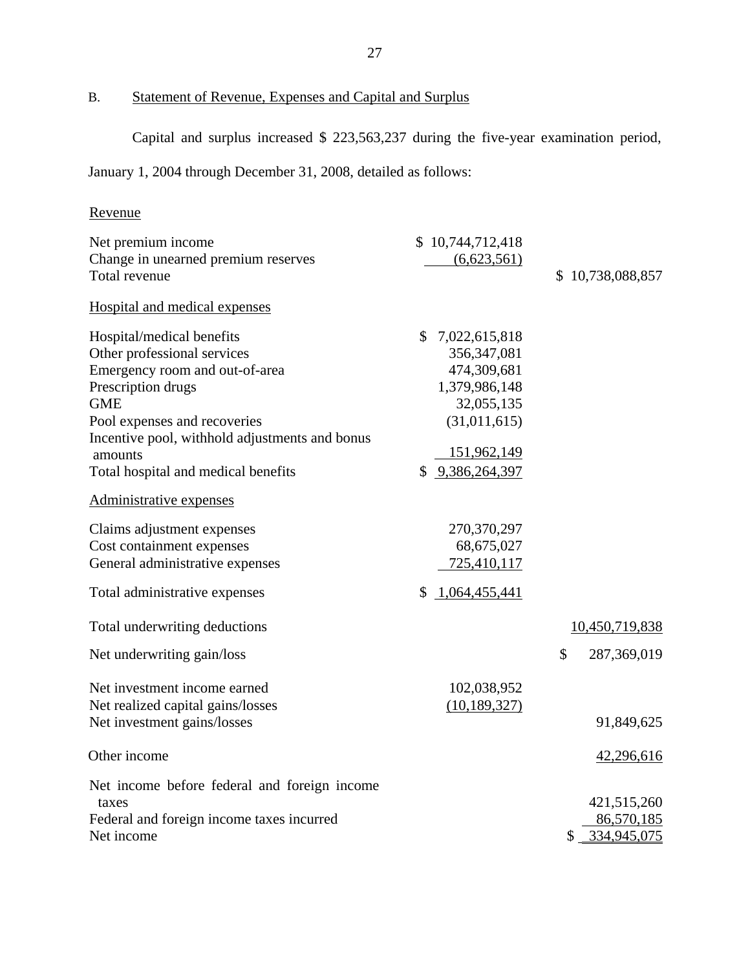B. Statement of Revenue, Expenses and Capital and Surplus

Capital and surplus increased \$ 223,563,237 during the five-year examination period,

January 1, 2004 through December 31, 2008, detailed as follows:

## Revenue

| Revenue                                                                                                                                                                                                                                                            |                                                                                                                                  |                                             |
|--------------------------------------------------------------------------------------------------------------------------------------------------------------------------------------------------------------------------------------------------------------------|----------------------------------------------------------------------------------------------------------------------------------|---------------------------------------------|
| Net premium income<br>Change in unearned premium reserves<br>Total revenue                                                                                                                                                                                         | \$10,744,712,418<br>(6,623,561)                                                                                                  | \$10,738,088,857                            |
| Hospital and medical expenses                                                                                                                                                                                                                                      |                                                                                                                                  |                                             |
| Hospital/medical benefits<br>Other professional services<br>Emergency room and out-of-area<br>Prescription drugs<br><b>GME</b><br>Pool expenses and recoveries<br>Incentive pool, withhold adjustments and bonus<br>amounts<br>Total hospital and medical benefits | \$7,022,615,818<br>356, 347, 081<br>474,309,681<br>1,379,986,148<br>32,055,135<br>(31,011,615)<br>151,962,149<br>\$9,386,264,397 |                                             |
| Administrative expenses                                                                                                                                                                                                                                            |                                                                                                                                  |                                             |
| Claims adjustment expenses<br>Cost containment expenses<br>General administrative expenses<br>Total administrative expenses                                                                                                                                        | 270,370,297<br>68,675,027<br>725,410,117<br>\$1,064,455,441                                                                      |                                             |
| Total underwriting deductions                                                                                                                                                                                                                                      |                                                                                                                                  | 10,450,719,838                              |
| Net underwriting gain/loss                                                                                                                                                                                                                                         |                                                                                                                                  | \$<br>287,369,019                           |
| Net investment income earned<br>Net realized capital gains/losses<br>Net investment gains/losses                                                                                                                                                                   | 102,038,952<br>(10, 189, 327)                                                                                                    | 91,849,625                                  |
| Other income                                                                                                                                                                                                                                                       |                                                                                                                                  | 42,296,616                                  |
| Net income before federal and foreign income<br>taxes<br>Federal and foreign income taxes incurred<br>Net income                                                                                                                                                   |                                                                                                                                  | 421,515,260<br>86,570,185<br>\$ 334,945,075 |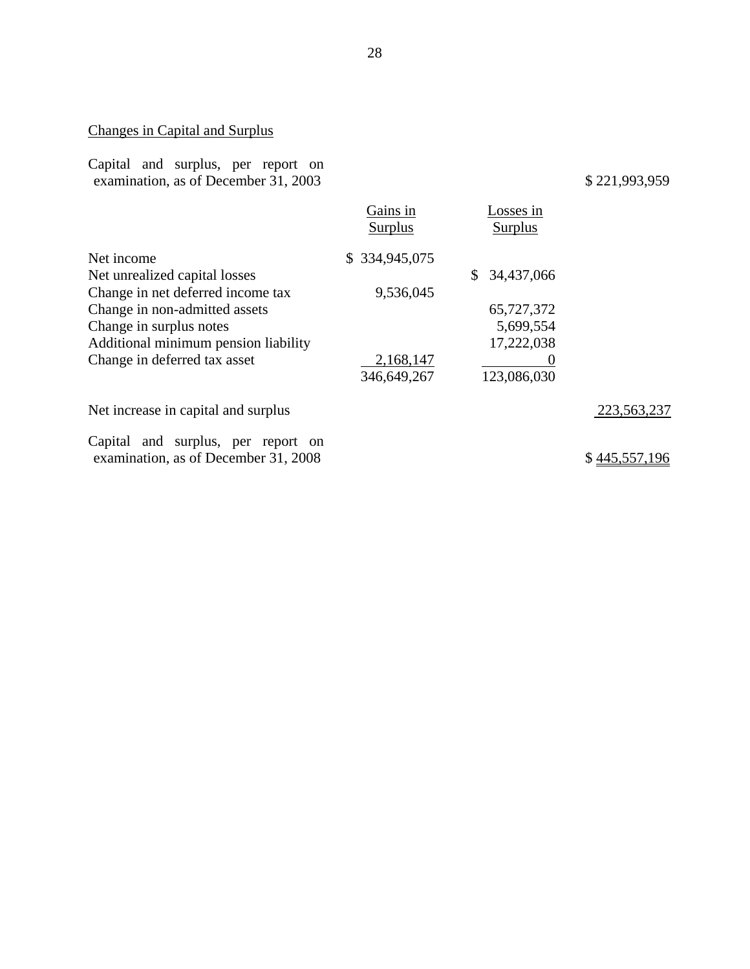## Changes in Capital and Surplus

|  | Capital and surplus, per report on   |  |  |
|--|--------------------------------------|--|--|
|  | examination, as of December 31, 2003 |  |  |

## examination, as of December 31, 2003 \$ 221,993,959

|                                      | Gains in<br>Surplus | Losses in<br><b>Surplus</b> |               |
|--------------------------------------|---------------------|-----------------------------|---------------|
| Net income                           | \$334,945,075       |                             |               |
| Net unrealized capital losses        |                     | 34,437,066<br>S.            |               |
| Change in net deferred income tax    | 9,536,045           |                             |               |
| Change in non-admitted assets        |                     | 65,727,372                  |               |
| Change in surplus notes              |                     | 5,699,554                   |               |
| Additional minimum pension liability |                     | 17,222,038                  |               |
| Change in deferred tax asset         | 2,168,147           |                             |               |
|                                      | 346,649,267         | 123,086,030                 |               |
| Net increase in capital and surplus  |                     |                             | 223,563,237   |
| Capital and surplus, per report on   |                     |                             |               |
| examination, as of December 31, 2008 |                     |                             | \$445,557,196 |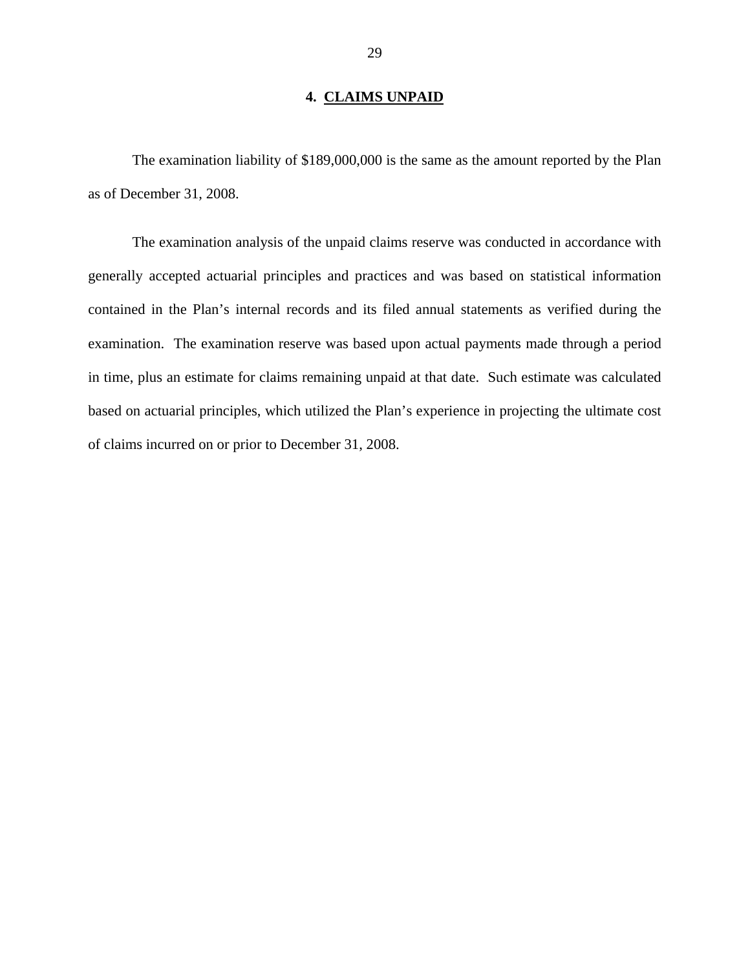## **4. CLAIMS UNPAID**

<span id="page-30-0"></span>The examination liability of \$189,000,000 is the same as the amount reported by the Plan as of December 31, 2008.

The examination analysis of the unpaid claims reserve was conducted in accordance with generally accepted actuarial principles and practices and was based on statistical information contained in the Plan's internal records and its filed annual statements as verified during the examination. The examination reserve was based upon actual payments made through a period in time, plus an estimate for claims remaining unpaid at that date. Such estimate was calculated based on actuarial principles, which utilized the Plan's experience in projecting the ultimate cost of claims incurred on or prior to December 31, 2008.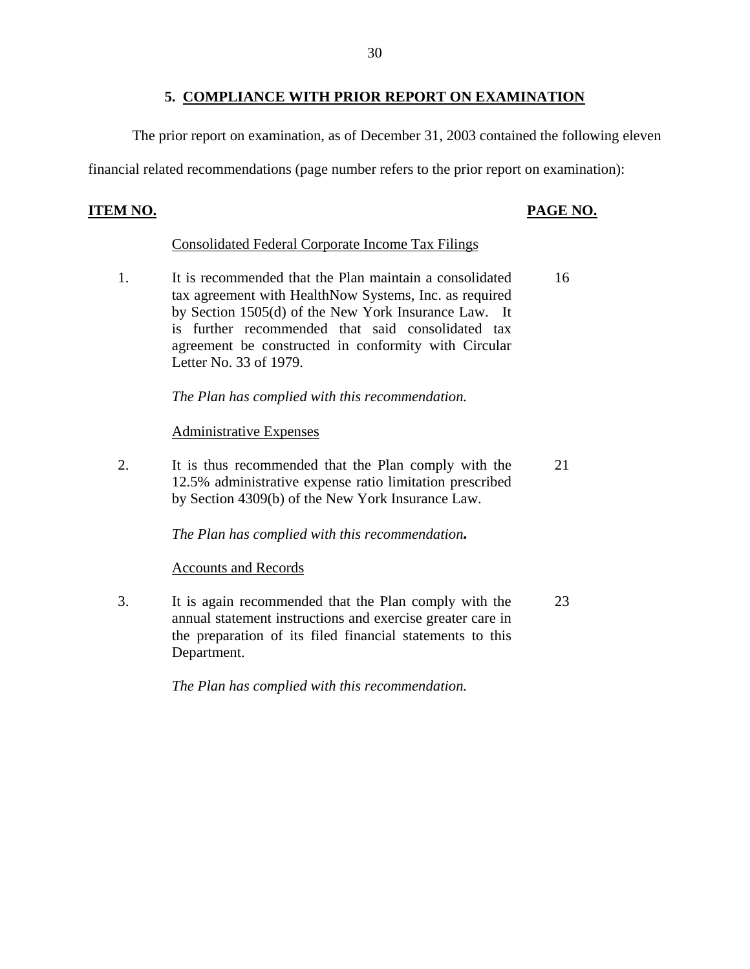## **5. COMPLIANCE WITH PRIOR REPORT ON EXAMINATION**

The prior report on examination, as of December 31, 2003 contained the following eleven

financial related recommendations (page number refers to the prior report on examination):

## **ITEM NO.**

## **PAGE NO.**

## **Consolidated Federal Corporate Income Tax Filings**

1. It is recommended that the Plan maintain a consolidated tax agreement with HealthNow Systems, Inc. as required by Section 1505(d) of the New York Insurance Law. It is further recommended that said consolidated tax agreement be constructed in conformity with Circular Letter No. 33 of 1979. 16

*The Plan has complied with this recommendation.* 

## Administrative Expenses

2. It is thus recommended that the Plan comply with the 12.5% administrative expense ratio limitation prescribed by Section 4309(b) of the New York Insurance Law. 21

 *The Plan has complied with this recommendation.*

## **Accounts and Records**

3. It is again recommended that the Plan comply with the annual statement instructions and exercise greater care in the preparation of its filed financial statements to this Department. 23

*The Plan has complied with this recommendation.*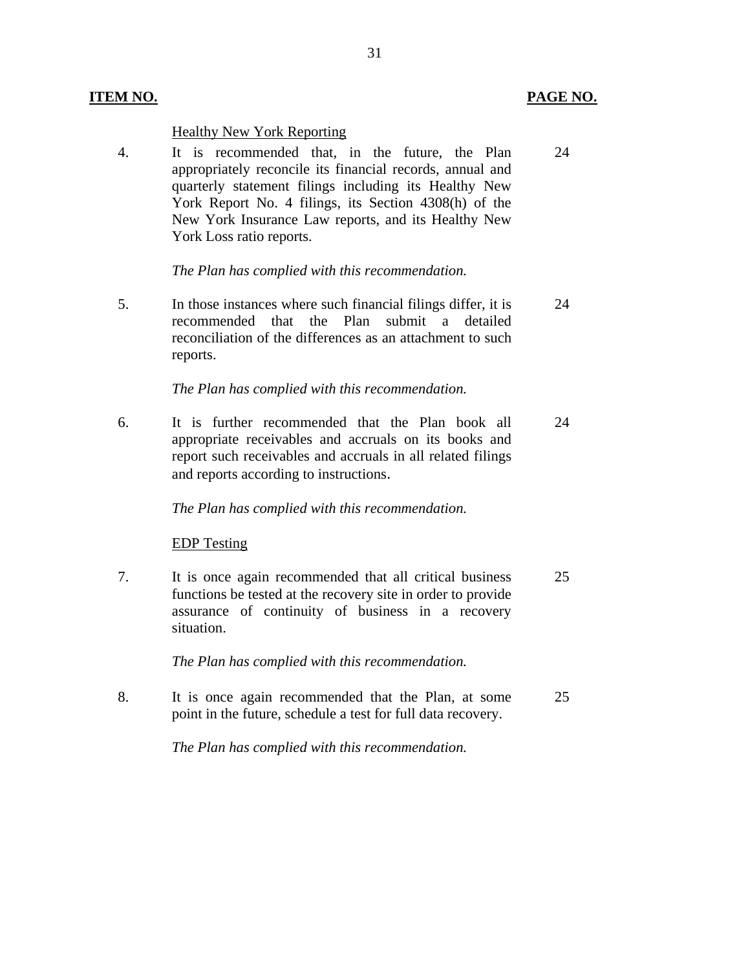## **ITEM NO. PAGE NO.**

## **Healthy New York Reporting**

4. It is recommended that, in the future, the Plan 24 appropriately reconcile its financial records, annual and quarterly statement filings including its Healthy New York Report No. 4 filings, its Section 4308(h) of the New York Insurance Law reports, and its Healthy New York Loss ratio reports.

## *The Plan has complied with this recommendation.*

5. In those instances where such financial filings differ, it is 24 recommended that the Plan submit a detailed reconciliation of the differences as an attachment to such reports.

## *The Plan has complied with this recommendation.*

6. It is further recommended that the Plan book all 24 appropriate receivables and accruals on its books and report such receivables and accruals in all related filings and reports according to instructions.

## *The Plan has complied with this recommendation.*

## **EDP** Testing

7. It is once again recommended that all critical business 25 functions be tested at the recovery site in order to provide assurance of continuity of business in a recovery situation.

*The Plan has complied with this recommendation.* 

8. It is once again recommended that the Plan, at some 25 point in the future, schedule a test for full data recovery.

*The Plan has complied with this recommendation.*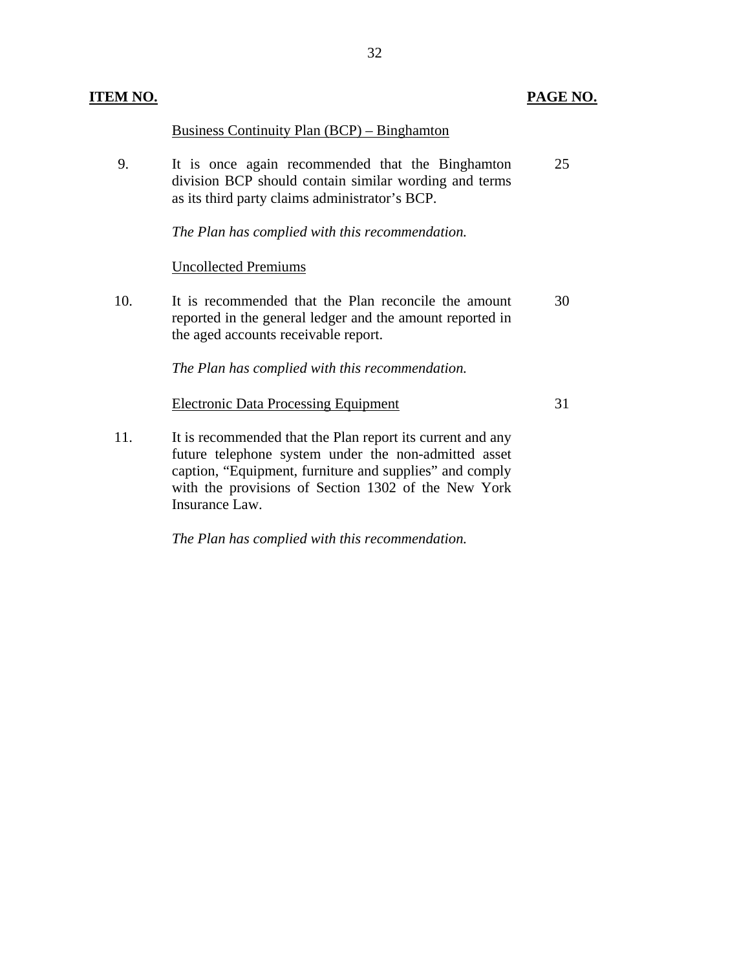| ITEM NO. |                                                                                                                                                                                                                                                        | PAGE NO. |
|----------|--------------------------------------------------------------------------------------------------------------------------------------------------------------------------------------------------------------------------------------------------------|----------|
|          | <b>Business Continuity Plan (BCP) – Binghamton</b>                                                                                                                                                                                                     |          |
| 9.       | It is once again recommended that the Binghamton<br>division BCP should contain similar wording and terms<br>as its third party claims administrator's BCP.                                                                                            | 25       |
|          | The Plan has complied with this recommendation.                                                                                                                                                                                                        |          |
|          | <b>Uncollected Premiums</b>                                                                                                                                                                                                                            |          |
| 10.      | It is recommended that the Plan reconcile the amount<br>reported in the general ledger and the amount reported in<br>the aged accounts receivable report.                                                                                              | 30       |
|          | The Plan has complied with this recommendation.                                                                                                                                                                                                        |          |
|          | <b>Electronic Data Processing Equipment</b>                                                                                                                                                                                                            | 31       |
| 11.      | It is recommended that the Plan report its current and any<br>future telephone system under the non-admitted asset<br>caption, "Equipment, furniture and supplies" and comply<br>with the provisions of Section 1302 of the New York<br>Insurance Law. |          |

*The Plan has complied with this recommendation.*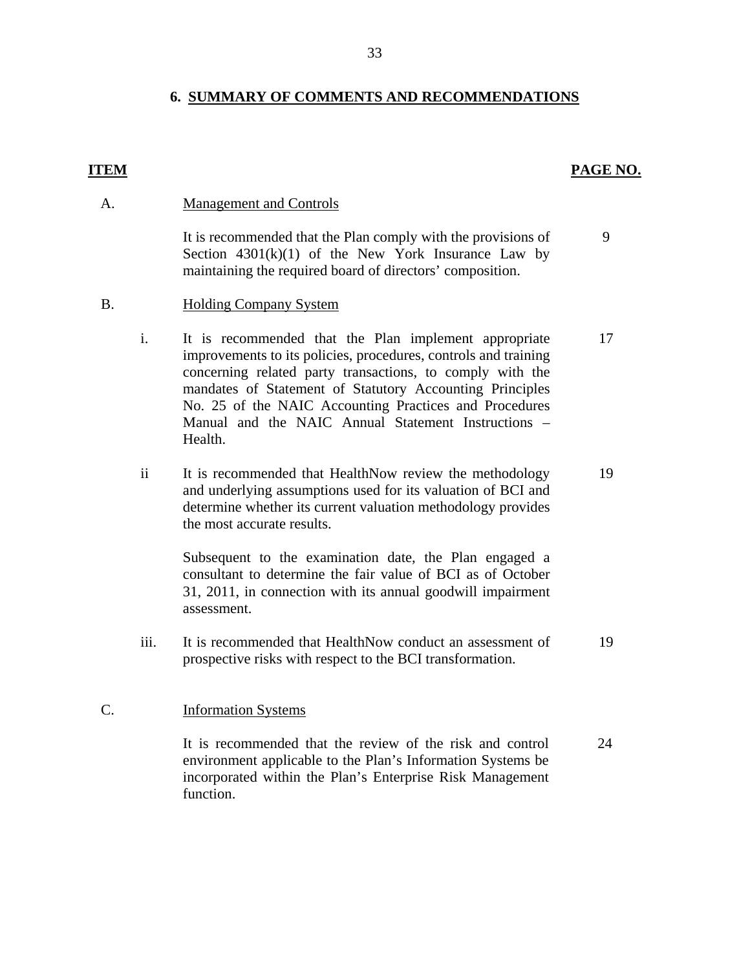## **6. SUMMARY OF COMMENTS AND RECOMMENDATIONS**

## **ITEM** PAGE NO.

## **Management and Controls**

A. Management and Controls<br>It is recommended that the Plan comply with the provisions of Section  $4301(k)(1)$  of the New York Insurance Law by maintaining the required board of directors' composition. 9

## **Holding Company System**

B. Holding Company System<br>i. It is recommended that the Plan implement appropriate improvements to its policies, procedures, controls and training concerning related party transactions, to comply with the mandates of Statement of Statutory Accounting Principles No. 25 of the NAIC Accounting Practices and Procedures Manual and the NAIC Annual Statement Instructions – Health. 17

ii It is recommended that HealthNow review the methodology and underlying assumptions used for its valuation of BCI and determine whether its current valuation methodology provides the most accurate results. 19

Subsequent to the examination date, the Plan engaged a consultant to determine the fair value of BCI as of October 31, 2011, in connection with its annual goodwill impairment assessment.

iii. It is recommended that HealthNow conduct an assessment of prospective risks with respect to the BCI transformation. 19

#### **Information Systems**

C. Information Systems<br>It is recommended that the review of the risk and control environment applicable to the Plan's Information Systems be incorporated within the Plan's Enterprise Risk Management function. 24